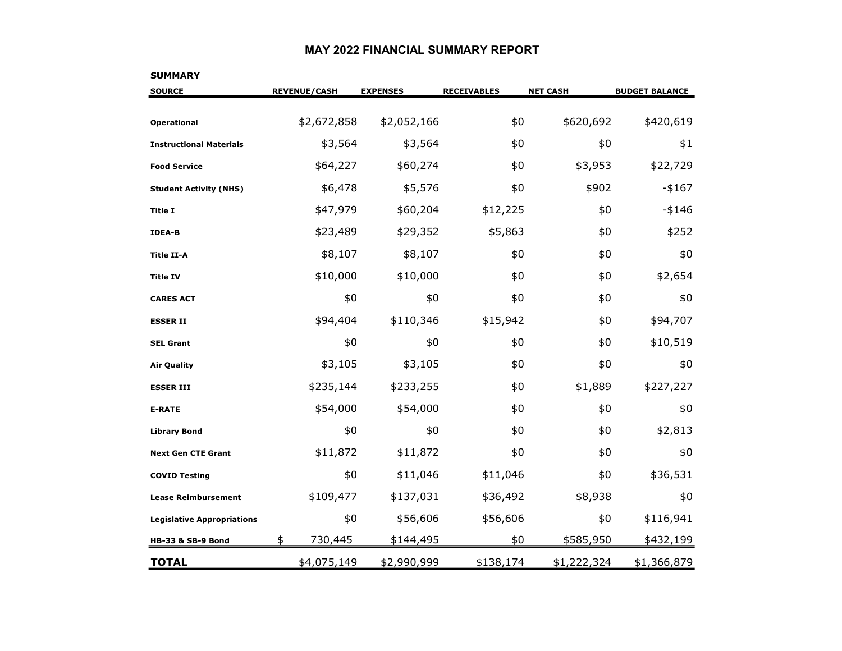#### **MAY 2022 FINANCIAL SUMMARY REPORT**

# **SOURCE REVENUE/CASH EXPENSES RECEIVABLES NET CASH BUDGET BALANCE Operational**  $$2,672,858$   $$2,052,166$   $$620,692$   $$420,619$ **Instructional Materials**\$ \$3,564 \$3,564 \$0 \$1 **Food Service**\$64,227 \$60,274 \$0 \$3,953 \$22,729 **\$**0 \$ **Student Activity (NHS)** \$6,478 \$5,576 \$0 \$902 -\$167 **Title I** \$47,979 \$60,204 \$12,225 \$0 -\$146 **IDEA-BB** \$23,489 \$29,352 \$5,863 \$0 \$252 **Title II-A**4 \$8,107 \$8,107 \$0 \$0 \$0 **Title IVv** \$10,000 \$10,000 \$0 \$0 \$2,654 **CARES ACT** \$0 \$0 \$0 \$0 \$0 **ESSER II** \$94,404 \$110,346 \$15,942 \$0 \$94,707 **SEL Grant**t \$0 \$0 \$0 \$0 \$0 \$10,519 Air Quality \$3,105 \$3,105 \$0 \$0 \$0 **ESSER III** \$235,144 \$233,255 \$0 \$1,889 \$227,227 **E-RATE** \$54,000 \$54,000 \$0 \$0 \$0 **Library Bond** \$0 \$0 \$0 \$0 \$2,813 **Next Gen CTE Grant**t \$11,872 \$11,872 \$0 \$0 \$0 \$0 **COVID Testing** \$0 \$11,046 \$11,046 \$0 \$36,531 **Lease Reimbursement**\$109,477 \$137,031 \$36,492 \$8,938 \$0 **Legislative Appropriations**  $$0$   $$56,606$   $$56,606$   $$116,941$ **HB-33 & SB-9 Bond** \$ \$144,495 \$0 \$585,950 \$432,199 730,445 **TOTAL**\$4,075,149 \$2,990,999 \$138,174 \$1,222,324 \$1,366,879

#### **SUMMARY**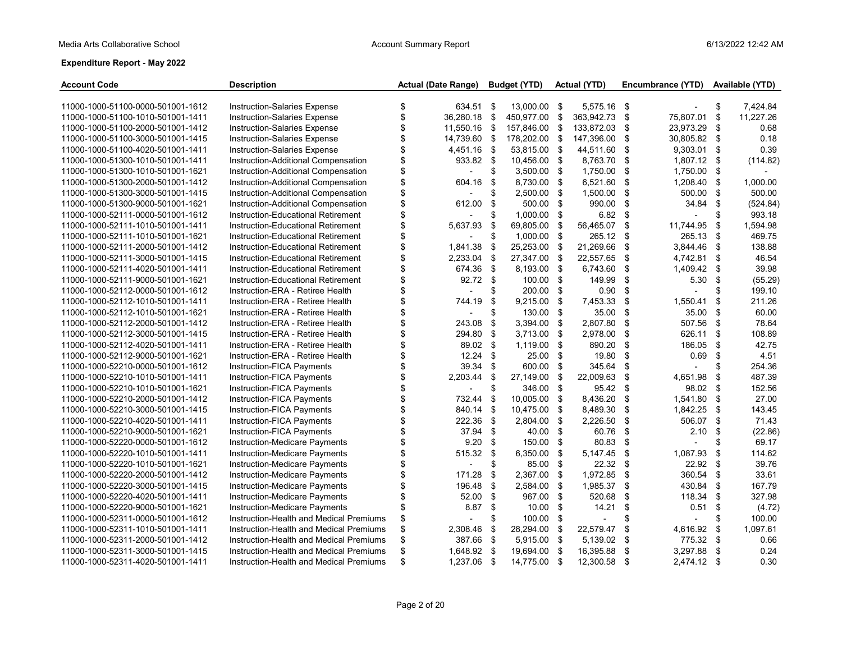| <b>Account Code</b>               | <b>Description</b>                      | <b>Actual (Date Range)</b> | <b>Budget (YTD)</b> |          | Actual (YTD) |      | Encumbrance (YTD) |      | Available (YTD) |
|-----------------------------------|-----------------------------------------|----------------------------|---------------------|----------|--------------|------|-------------------|------|-----------------|
|                                   |                                         |                            |                     |          |              |      |                   |      |                 |
| 11000-1000-51100-0000-501001-1612 | Instruction-Salaries Expense            | \$<br>634.51               | \$<br>13,000.00 \$  |          | 5,575.16 \$  |      |                   | \$   | 7,424.84        |
| 11000-1000-51100-1010-501001-1411 | <b>Instruction-Salaries Expense</b>     | \$<br>36.280.18            | \$<br>450,977.00    | - \$     | 363.942.73   | - \$ | 75,807.01         | \$   | 11,227.26       |
| 11000-1000-51100-2000-501001-1412 | Instruction-Salaries Expense            | \$<br>11,550.16            | \$<br>157,846.00 \$ |          | 133.872.03   | -\$  | 23,973.29         | \$   | 0.68            |
| 11000-1000-51100-3000-501001-1415 | <b>Instruction-Salaries Expense</b>     | \$<br>14,739.60            | \$<br>178,202.00 \$ |          | 147,396.00   | \$   | 30,805.82 \$      |      | 0.18            |
| 11000-1000-51100-4020-501001-1411 | Instruction-Salaries Expense            | \$<br>4.451.16 \$          | 53,815.00 \$        |          | 44,511.60    | -\$  | 9,303.01          | \$   | 0.39            |
| 11000-1000-51300-1010-501001-1411 | Instruction-Additional Compensation     | \$<br>933.82               | \$<br>10,456.00 \$  |          | 8,763.70     | -\$  | 1,807.12 \$       |      | (114.82)        |
| 11000-1000-51300-1010-501001-1621 | Instruction-Additional Compensation     | \$                         | \$<br>3,500.00 \$   |          | 1,750.00     | \$   | 1,750.00          | -\$  |                 |
| 11000-1000-51300-2000-501001-1412 | Instruction-Additional Compensation     | \$<br>604.16               | \$<br>8,730.00 \$   |          | 6,521.60     | \$   | 1,208.40          | \$   | 1,000.00        |
| 11000-1000-51300-3000-501001-1415 | Instruction-Additional Compensation     | \$                         | \$<br>2,500.00 \$   |          | 1,500.00     | -\$  | 500.00            | \$   | 500.00          |
| 11000-1000-51300-9000-501001-1621 | Instruction-Additional Compensation     | \$<br>612.00               | \$<br>500.00 \$     |          | 990.00       | \$   | 34.84             | \$   | (524.84)        |
| 11000-1000-52111-0000-501001-1612 | Instruction-Educational Retirement      | \$                         | \$<br>1,000.00 \$   |          | 6.82         | \$   |                   | \$   | 993.18          |
| 11000-1000-52111-1010-501001-1411 | Instruction-Educational Retirement      | \$<br>5,637.93             | \$<br>69,805.00     | \$       | 56,465.07    | \$   | 11,744.95         | -\$  | 1.594.98        |
| 11000-1000-52111-1010-501001-1621 | Instruction-Educational Retirement      | \$                         | \$<br>1,000.00 \$   |          | 265.12 \$    |      | 265.13            | \$   | 469.75          |
| 11000-1000-52111-2000-501001-1412 | Instruction-Educational Retirement      | \$<br>1,841.38             | \$<br>25,253.00     | - \$     | 21,269.66    | \$   | 3,844.46          | \$   | 138.88          |
| 11000-1000-52111-3000-501001-1415 | Instruction-Educational Retirement      | \$<br>2,233.04             | \$<br>27,347.00 \$  |          | 22,557.65 \$ |      | 4,742.81          | -\$  | 46.54           |
| 11000-1000-52111-4020-501001-1411 | Instruction-Educational Retirement      | \$<br>674.36               | \$<br>8,193.00 \$   |          | 6,743.60     | -\$  | 1,409.42          | -\$  | 39.98           |
| 11000-1000-52111-9000-501001-1621 | Instruction-Educational Retirement      | \$<br>92.72                | \$<br>100.00 \$     |          | 149.99       | \$   | 5.30              | \$   | (55.29)         |
| 11000-1000-52112-0000-501001-1612 | Instruction-ERA - Retiree Health        | \$                         | \$<br>200.00        | -\$      | 0.90         | -\$  |                   | \$   | 199.10          |
| 11000-1000-52112-1010-501001-1411 | Instruction-ERA - Retiree Health        | \$<br>744.19               | \$<br>9,215.00      | \$       | 7,453.33     | \$   | 1,550.41          | \$   | 211.26          |
| 11000-1000-52112-1010-501001-1621 | Instruction-ERA - Retiree Health        | \$                         | \$<br>130.00        | \$       | 35.00        | \$   | 35.00             | \$   | 60.00           |
| 11000-1000-52112-2000-501001-1412 | Instruction-ERA - Retiree Health        | \$<br>243.08               | \$<br>3,394.00 \$   |          | 2,807.80     | \$   | 507.56            | \$   | 78.64           |
| 11000-1000-52112-3000-501001-1415 | Instruction-ERA - Retiree Health        | \$<br>294.80               | \$<br>3,713.00      | \$       | 2,978.00     | \$   | 626.11            | \$   | 108.89          |
| 11000-1000-52112-4020-501001-1411 | Instruction-ERA - Retiree Health        | \$<br>89.02                | \$<br>1,119.00      | \$       | 890.20       | \$   | 186.05            | \$   | 42.75           |
| 11000-1000-52112-9000-501001-1621 | Instruction-ERA - Retiree Health        | \$<br>12.24                | \$<br>25.00 \$      |          | 19.80        | \$   | 0.69              | \$   | 4.51            |
| 11000-1000-52210-0000-501001-1612 | Instruction-FICA Payments               | \$<br>39.34                | \$<br>600.00        | - \$     | 345.64       | \$   |                   | \$   | 254.36          |
| 11000-1000-52210-1010-501001-1411 | Instruction-FICA Payments               | \$<br>2,203.44             | \$<br>27,149.00     | \$       | 22,009.63    | \$   | 4,651.98          | \$   | 487.39          |
| 11000-1000-52210-1010-501001-1621 | Instruction-FICA Payments               | \$                         | \$<br>346.00 \$     |          | 95.42 \$     |      | 98.02             | - \$ | 152.56          |
| 11000-1000-52210-2000-501001-1412 | Instruction-FICA Payments               | \$<br>732.44               | \$<br>10,005.00 \$  |          | 8,436.20     | \$   | 1,541.80          | -\$  | 27.00           |
| 11000-1000-52210-3000-501001-1415 | Instruction-FICA Payments               | \$<br>840.14               | \$<br>10,475.00 \$  |          | 8,489.30     | \$   | 1,842.25          | \$   | 143.45          |
| 11000-1000-52210-4020-501001-1411 | Instruction-FICA Payments               | \$<br>222.36               | \$<br>2,804.00 \$   |          | 2,226.50     | \$   | 506.07            | \$   | 71.43           |
| 11000-1000-52210-9000-501001-1621 | Instruction-FICA Payments               | \$<br>37.94                | \$<br>40.00 \$      |          | 60.76        | \$   | 2.10              | \$   | (22.86)         |
| 11000-1000-52220-0000-501001-1612 | Instruction-Medicare Payments           | \$<br>9.20                 | \$<br>150.00 \$     |          | 80.83        | \$   |                   | \$   | 69.17           |
| 11000-1000-52220-1010-501001-1411 | Instruction-Medicare Payments           | \$<br>515 32               | \$<br>6,350.00 \$   |          | 5,147.45 \$  |      | 1,087.93          | \$   | 114.62          |
| 11000-1000-52220-1010-501001-1621 | Instruction-Medicare Payments           | \$                         | \$<br>85.00         | <b>S</b> | 22.32        | \$   | 22.92             | \$   | 39.76           |
| 11000-1000-52220-2000-501001-1412 | Instruction-Medicare Payments           | \$<br>171.28               | \$<br>2,367.00      | \$       | 1,972.85     | \$   | 360.54            | \$   | 33.61           |
| 11000-1000-52220-3000-501001-1415 | Instruction-Medicare Payments           | \$<br>196.48               | \$<br>2.584.00      | \$       | 1,985.37 \$  |      | 430.84            | \$   | 167.79          |
| 11000-1000-52220-4020-501001-1411 | Instruction-Medicare Payments           | \$<br>52.00                | \$<br>967.00        | \$       | 520.68       | \$   | 118.34            | \$   | 327.98          |
| 11000-1000-52220-9000-501001-1621 | Instruction-Medicare Payments           | \$<br>8.87                 | \$<br>10.00         | \$       | 14.21        | \$   | 0.51              | \$   | (4.72)          |
| 11000-1000-52311-0000-501001-1612 | Instruction-Health and Medical Premiums | \$                         | \$<br>100.00        | \$       |              | \$   |                   | \$   | 100.00          |
| 11000-1000-52311-1010-501001-1411 | Instruction-Health and Medical Premiums | \$<br>2,308.46             | \$<br>28,294.00     | \$       | 22,579.47    | \$   | 4,616.92          | \$   | 1,097.61        |
| 11000-1000-52311-2000-501001-1412 | Instruction-Health and Medical Premiums | \$<br>387.66               | \$<br>5,915.00 \$   |          | 5,139.02     | \$   | 775.32 \$         |      | 0.66            |
| 11000-1000-52311-3000-501001-1415 | Instruction-Health and Medical Premiums | \$<br>1,648.92             | \$<br>19,694.00 \$  |          | 16,395.88    | \$   | 3,297.88          | \$   | 0.24            |
| 11000-1000-52311-4020-501001-1411 | Instruction-Health and Medical Premiums | \$<br>1,237.06 \$          | 14,775.00 \$        |          | 12,300.58 \$ |      | 2.474.12 \$       |      | 0.30            |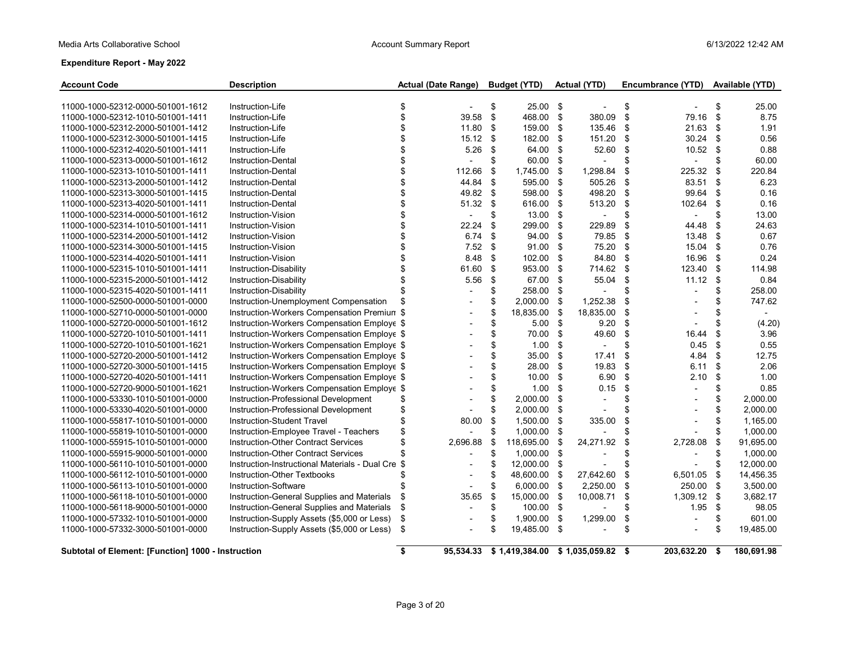| <b>Account Code</b>                                | <b>Description</b>                                |     | <b>Actual (Date Range)</b> | <b>Budget (YTD)</b>                        |      | <b>Actual (YTD)</b>      |     | Encumbrance (YTD) |      | <b>Available (YTD)</b> |
|----------------------------------------------------|---------------------------------------------------|-----|----------------------------|--------------------------------------------|------|--------------------------|-----|-------------------|------|------------------------|
| 11000-1000-52312-0000-501001-1612                  | Instruction-Life                                  | \$  |                            | \$<br>25.00 \$                             |      |                          | \$  |                   | \$   | 25.00                  |
| 11000-1000-52312-1010-501001-1411                  | Instruction-Life                                  | \$  | 39.58                      | \$<br>468.00 \$                            |      | 380.09                   | \$  | 79.16             | \$   | 8.75                   |
| 11000-1000-52312-2000-501001-1412                  | Instruction-Life                                  | \$  | 11.80                      | \$<br>159.00                               | \$   | 135.46                   | -\$ | 21.63             | \$   | 1.91                   |
| 11000-1000-52312-3000-501001-1415                  | Instruction-Life                                  | \$  | 15.12                      | \$<br>182.00 \$                            |      | 151.20                   | \$  | 30.24             | \$   | 0.56                   |
| 11000-1000-52312-4020-501001-1411                  | Instruction-Life                                  | \$  | 5.26                       | \$<br>64.00                                | \$   | 52.60                    | \$  | 10.52             | -\$  | 0.88                   |
| 11000-1000-52313-0000-501001-1612                  | Instruction-Dental                                | \$  |                            | \$<br>60.00 \$                             |      | $\overline{\phantom{a}}$ | \$  | $\overline{a}$    | \$   | 60.00                  |
| 11000-1000-52313-1010-501001-1411                  | <b>Instruction-Dental</b>                         | \$  | 112.66                     | \$<br>1,745.00 \$                          |      | 1,298.84                 | \$  | 225.32            | \$   | 220.84                 |
| 11000-1000-52313-2000-501001-1412                  | Instruction-Dental                                | \$  | 44.84                      | \$<br>595.00 \$                            |      | 505.26                   | \$  | 83.51             | \$   | 6.23                   |
| 11000-1000-52313-3000-501001-1415                  | <b>Instruction-Dental</b>                         | \$  | 49.82                      | \$<br>598.00 \$                            |      | 498.20                   | \$  | 99.64             | \$   | 0.16                   |
| 11000-1000-52313-4020-501001-1411                  | <b>Instruction-Dental</b>                         | \$  | 51.32                      | \$<br>616.00 \$                            |      | 513.20                   | \$  | 102.64            | \$   | 0.16                   |
| 11000-1000-52314-0000-501001-1612                  | Instruction-Vision                                | \$  |                            | \$<br>$13.00$ \$                           |      |                          | \$  |                   | \$   | 13.00                  |
| 11000-1000-52314-1010-501001-1411                  | Instruction-Vision                                | \$  | 22.24                      | \$<br>299.00 \$                            |      | 229.89                   | \$  | 44.48             | \$   | 24.63                  |
| 11000-1000-52314-2000-501001-1412                  | Instruction-Vision                                | \$  | 6.74                       | \$<br>94.00 \$                             |      | 79.85                    | \$  | 13.48             | \$   | 0.67                   |
| 11000-1000-52314-3000-501001-1415                  | Instruction-Vision                                | \$  | 7.52                       | \$<br>91.00 \$                             |      | 75.20                    | \$  | 15.04             | -\$  | 0.76                   |
| 11000-1000-52314-4020-501001-1411                  | Instruction-Vision                                | \$  | 8.48                       | \$<br>102.00 \$                            |      | 84.80                    | -\$ | 16.96             | -\$  | 0.24                   |
| 11000-1000-52315-1010-501001-1411                  | Instruction-Disability                            |     | 61.60                      | \$<br>953.00 \$                            |      | 714.62 \$                |     | 123.40            | \$   | 114.98                 |
| 11000-1000-52315-2000-501001-1412                  | Instruction-Disability                            | \$  | 5.56                       | \$<br>67.00 \$                             |      | 55.04                    | \$  | 11.12             | \$   | 0.84                   |
| 11000-1000-52315-4020-501001-1411                  | Instruction-Disability                            | \$  |                            | \$<br>258.00 \$                            |      |                          | \$  |                   | \$   | 258.00                 |
| 11000-1000-52500-0000-501001-0000                  | Instruction-Unemployment Compensation             |     |                            | \$<br>2,000.00                             | -\$  | 1,252.38                 | \$  |                   | \$   | 747.62                 |
| 11000-1000-52710-0000-501001-0000                  | Instruction-Workers Compensation Premium \$       |     |                            | \$<br>18,835.00                            | \$   | 18,835.00                | \$  |                   | \$   | $ \,$                  |
| 11000-1000-52720-0000-501001-1612                  | Instruction-Workers Compensation Employe \$       |     |                            | \$<br>5.00 <sup>5</sup>                    |      | 9.20                     | \$  |                   | \$   | (4.20)                 |
| 11000-1000-52720-1010-501001-1411                  | Instruction-Workers Compensation Employe \$       |     |                            | \$<br>70.00 \$                             |      | 49.60                    | \$  | 16.44             | \$   | 3.96                   |
| 11000-1000-52720-1010-501001-1621                  | Instruction-Workers Compensation Employe \$       |     |                            | \$<br>1.00                                 | \$   | $\blacksquare$           | \$  | 0.45              | \$   | 0.55                   |
| 11000-1000-52720-2000-501001-1412                  | Instruction-Workers Compensation Employe \$       |     |                            | \$<br>35.00                                | \$   | 17.41                    | \$  | 4.84              | \$   | 12.75                  |
| 11000-1000-52720-3000-501001-1415                  | Instruction-Workers Compensation Employe \$       |     |                            | \$<br>28.00                                | \$   | 19.83                    | \$  | 6.11              | \$   | 2.06                   |
| 11000-1000-52720-4020-501001-1411                  | Instruction-Workers Compensation Employe \$       |     |                            | \$<br>10.00                                | \$   | 6.90                     | \$  | 2.10              | \$   | 1.00                   |
| 11000-1000-52720-9000-501001-1621                  | Instruction-Workers Compensation Employe \$       |     |                            | \$<br>1.00                                 | \$   | 0.15                     | \$  |                   | \$   | 0.85                   |
| 11000-1000-53330-1010-501001-0000                  | Instruction-Professional Development              | \$  |                            | \$<br>2,000.00                             | \$   | $\overline{\phantom{a}}$ | \$  |                   | \$   | 2,000.00               |
| 11000-1000-53330-4020-501001-0000                  | Instruction-Professional Development              | \$  |                            | \$<br>2,000.00                             | \$   |                          | \$  |                   | \$   | 2,000.00               |
| 11000-1000-55817-1010-501001-0000                  | Instruction-Student Travel                        | \$  | 80.00                      | \$<br>1,500.00 \$                          |      | 335.00                   | \$  |                   | \$   | 1,165.00               |
| 11000-1000-55819-1010-501001-0000                  | Instruction-Employee Travel - Teachers            | \$  |                            | \$<br>1,000.00 \$                          |      |                          |     |                   | \$   | 1,000.00               |
| 11000-1000-55915-1010-501001-0000                  | <b>Instruction-Other Contract Services</b>        | \$  | 2,696.88                   | \$<br>118,695.00                           | \$   | 24,271.92                | \$  | 2,728.08          | \$   | 91,695.00              |
| 11000-1000-55915-9000-501001-0000                  | <b>Instruction-Other Contract Services</b>        | \$  |                            | \$<br>1,000.00 \$                          |      |                          | \$  |                   | S    | 1,000.00               |
| 11000-1000-56110-1010-501001-0000                  | Instruction-Instructional Materials - Dual Cre \$ |     |                            | \$<br>12,000.00 \$                         |      |                          | \$  |                   | \$   | 12,000.00              |
| 11000-1000-56112-1010-501001-0000                  | Instruction-Other Textbooks                       | \$  |                            | \$<br>48,600.00                            | - \$ | 27,642.60                | \$  | 6,501.05          | \$   | 14,456.35              |
| 11000-1000-56113-1010-501001-0000                  | Instruction-Software                              | \$  |                            | \$<br>$6,000.00$ \$                        |      | 2,250.00                 | \$  | 250.00            | - \$ | 3,500.00               |
| 11000-1000-56118-1010-501001-0000                  | Instruction-General Supplies and Materials        | \$  | 35.65                      | \$<br>15,000.00                            | \$   | 10,008.71                | \$  | 1,309.12          | \$   | 3,682.17               |
| 11000-1000-56118-9000-501001-0000                  | Instruction-General Supplies and Materials        | \$  | $\overline{\phantom{a}}$   | \$<br>100.00 \$                            |      |                          | \$  | 1.95              | \$   | 98.05                  |
| 11000-1000-57332-1010-501001-0000                  | Instruction-Supply Assets (\$5,000 or Less)       | \$  |                            | \$<br>1,900.00 \$                          |      | 1,299.00                 | \$  |                   | \$   | 601.00                 |
| 11000-1000-57332-3000-501001-0000                  | Instruction-Supply Assets (\$5,000 or Less)       | -\$ |                            | \$<br>19,485.00 \$                         |      | $\overline{\phantom{a}}$ | \$  |                   | \$   | 19,485.00              |
| Subtotal of Element: [Function] 1000 - Instruction |                                                   | \$  |                            | 95,534.33 \$1,419,384.00 \$1,035,059.82 \$ |      |                          |     | 203,632.20        | \$   | 180,691.98             |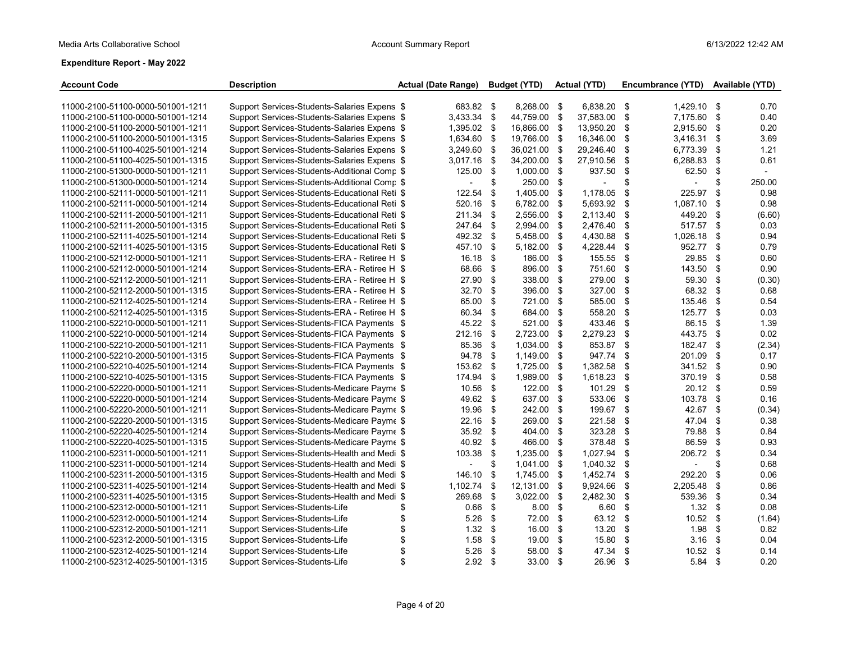| <b>Account Code</b>               | <b>Description</b>                            |    | <b>Actual (Date Range)</b> |      | <b>Budget (YTD)</b> |     | <b>Actual (YTD)</b> |      | Encumbrance (YTD) |      | Available (YTD) |
|-----------------------------------|-----------------------------------------------|----|----------------------------|------|---------------------|-----|---------------------|------|-------------------|------|-----------------|
| 11000-2100-51100-0000-501001-1211 | Support Services-Students-Salaries Expens \$  |    | 683.82 \$                  |      | 8,268.00 \$         |     | 6,838.20 \$         |      | 1,429.10          | -\$  | 0.70            |
| 11000-2100-51100-0000-501001-1214 | Support Services-Students-Salaries Expens \$  |    | 3,433.34                   | \$   | 44,759.00           | \$  | 37,583.00           | \$   | 7,175.60          | \$   | 0.40            |
| 11000-2100-51100-2000-501001-1211 | Support Services-Students-Salaries Expens \$  |    | 1,395.02                   | \$   | 16,866.00           | \$  | 13,950.20           | \$   | 2,915.60          | \$   | 0.20            |
| 11000-2100-51100-2000-501001-1315 | Support Services-Students-Salaries Expens \$  |    | 1,634.60                   | \$   | 19,766.00           | \$  | 16,346.00           | \$   | 3,416.31          | \$   | 3.69            |
| 11000-2100-51100-4025-501001-1214 | Support Services-Students-Salaries Expens \$  |    | 3,249.60                   | \$   | 36,021.00           | \$  | 29,246.40           | \$   | 6,773.39          | \$   | 1.21            |
| 11000-2100-51100-4025-501001-1315 | Support Services-Students-Salaries Expens \$  |    | 3,017.16                   | \$   | 34,200.00           | \$  | 27,910.56           | \$   | 6,288.83          | \$   | 0.61            |
| 11000-2100-51300-0000-501001-1211 | Support Services-Students-Additional Comp \$  |    | 125.00                     | \$   | 1,000.00            | \$  | 937.50              | \$   | 62.50             | \$   |                 |
| 11000-2100-51300-0000-501001-1214 | Support Services-Students-Additional Comp \$  |    | $\blacksquare$             | \$   | 250.00              | \$  |                     | \$   |                   | \$   | 250.00          |
| 11000-2100-52111-0000-501001-1211 | Support Services-Students-Educational Reti \$ |    | 122.54                     | \$   | 1,405.00            | \$  | 1,178.05            | \$   | 225.97            | \$   | 0.98            |
| 11000-2100-52111-0000-501001-1214 | Support Services-Students-Educational Reti \$ |    | 520.16                     | \$   | 6,782.00            | \$  | 5,693.92            | \$   | 1,087.10          | \$   | 0.98            |
| 11000-2100-52111-2000-501001-1211 | Support Services-Students-Educational Reti \$ |    | 211.34                     | \$   | 2.556.00            | -\$ | 2.113.40            | \$   | 449.20            | \$   | (6.60)          |
| 11000-2100-52111-2000-501001-1315 | Support Services-Students-Educational Reti \$ |    | 247.64                     | \$   | 2,994.00            | -\$ | 2,476.40            | \$   | 517.57            | \$   | 0.03            |
| 11000-2100-52111-4025-501001-1214 | Support Services-Students-Educational Reti \$ |    | 492.32                     | \$   | 5,458.00            | \$  | 4,430.88            | \$   | 1,026.18          | \$   | 0.94            |
| 11000-2100-52111-4025-501001-1315 | Support Services-Students-Educational Reti \$ |    | 457.10                     | \$   | 5,182.00            | \$  | 4,228.44            | \$   | 952.77            | \$   | 0.79            |
| 11000-2100-52112-0000-501001-1211 | Support Services-Students-ERA - Retiree H \$  |    | 16.18                      | \$   | 186.00              | \$  | 155.55              | \$   | 29.85             | \$   | 0.60            |
| 11000-2100-52112-0000-501001-1214 | Support Services-Students-ERA - Retiree H \$  |    | 68.66                      | \$   | 896.00              | \$  | 751.60              | -\$  | 143.50            | \$   | 0.90            |
| 11000-2100-52112-2000-501001-1211 | Support Services-Students-ERA - Retiree H \$  |    | 27.90                      | \$   | 338.00              | \$  | 279.00              | \$   | 59.30             | \$   | (0.30)          |
| 11000-2100-52112-2000-501001-1315 | Support Services-Students-ERA - Retiree H \$  |    | 32.70                      | \$   | 396.00              | \$  | 327.00              | \$   | 68.32             | -\$  | 0.68            |
| 11000-2100-52112-4025-501001-1214 | Support Services-Students-ERA - Retiree H \$  |    | 65.00                      | \$   | 721.00              | \$  | 585.00              | \$   | 135.46            | \$   | 0.54            |
| 11000-2100-52112-4025-501001-1315 | Support Services-Students-ERA - Retiree H \$  |    | 60.34                      | \$   | 684.00              | \$  | 558.20              | \$   | 125.77            | \$   | 0.03            |
| 11000-2100-52210-0000-501001-1211 | Support Services-Students-FICA Payments \$    |    | 45.22                      | \$   | 521.00              | \$  | 433.46              | \$   | 86.15             | \$   | 1.39            |
| 11000-2100-52210-0000-501001-1214 | Support Services-Students-FICA Payments \$    |    | 212.16                     | \$   | 2,723.00            | \$  | 2,279.23            | \$   | 443.75            | \$   | 0.02            |
| 11000-2100-52210-2000-501001-1211 | Support Services-Students-FICA Payments \$    |    | 85.36                      | \$   | 1,034.00            | \$  | 853.87              | \$   | 182.47            | \$   | (2.34)          |
| 11000-2100-52210-2000-501001-1315 | Support Services-Students-FICA Payments \$    |    | 94.78                      | \$   | 1,149.00            | \$  | 947.74              | S.   | 201.09            | \$   | 0.17            |
| 11000-2100-52210-4025-501001-1214 | Support Services-Students-FICA Payments \$    |    | 153.62                     | \$   | 1,725.00            | \$  | 1,382.58            | \$   | 341.52            | \$   | 0.90            |
| 11000-2100-52210-4025-501001-1315 | Support Services-Students-FICA Payments \$    |    | 174.94                     | \$   | 1.989.00            | \$  | 1.618.23            | \$   | 370.19            | \$   | 0.58            |
| 11000-2100-52220-0000-501001-1211 | Support Services-Students-Medicare Payme \$   |    | 10.56                      | \$   | 122.00              | \$  | 101.29              | \$   | 20.12             | - \$ | 0.59            |
| 11000-2100-52220-0000-501001-1214 | Support Services-Students-Medicare Payme \$   |    | 49.62                      | - \$ | 637.00              | \$  | 533.06              | \$   | 103.78            | \$   | 0.16            |
| 11000-2100-52220-2000-501001-1211 | Support Services-Students-Medicare Payme \$   |    | 19.96                      | \$   | 242.00              | \$  | 199.67              | \$   | 42.67             | \$   | (0.34)          |
| 11000-2100-52220-2000-501001-1315 | Support Services-Students-Medicare Payme \$   |    | 22.16                      | \$   | 269.00              | \$  | 221.58              | \$   | 47.04             | \$   | 0.38            |
| 11000-2100-52220-4025-501001-1214 | Support Services-Students-Medicare Payme \$   |    | 35.92                      | -\$  | 404.00              | \$  | 323.28              | \$   | 79.88             | \$   | 0.84            |
| 11000-2100-52220-4025-501001-1315 | Support Services-Students-Medicare Payme \$   |    | 40.92                      | \$   | 466.00              | \$  | 378.48              | \$   | 86.59             | \$   | 0.93            |
| 11000-2100-52311-0000-501001-1211 | Support Services-Students-Health and Medi \$  |    | 103.38                     | \$   | 1,235.00            | \$  | 1,027.94 \$         |      | 206.72            | - \$ | 0.34            |
| 11000-2100-52311-0000-501001-1214 | Support Services-Students-Health and Medi \$  |    |                            | \$   | 1,041.00            | \$  | 1,040.32            | \$   |                   | \$   | 0.68            |
| 11000-2100-52311-2000-501001-1315 | Support Services-Students-Health and Medi \$  |    | 146.10                     | \$   | 1,745.00            | \$  | 1,452.74            | \$   | 292.20            | \$   | 0.06            |
| 11000-2100-52311-4025-501001-1214 | Support Services-Students-Health and Medi \$  |    | 1,102.74                   | \$   | 12,131.00           | \$  | 9,924.66            | \$   | 2,205.48          | \$   | 0.86            |
| 11000-2100-52311-4025-501001-1315 | Support Services-Students-Health and Medi \$  |    | 269.68                     | \$   | 3,022.00            | \$  | 2,482.30            | \$   | 539.36            | \$   | 0.34            |
| 11000-2100-52312-0000-501001-1211 | Support Services-Students-Life                | S  | 0.66                       | \$   | 8.00                | \$  | 6.60                | \$   | 1.32              | \$   | 0.08            |
| 11000-2100-52312-0000-501001-1214 | Support Services-Students-Life                | \$ | 5.26                       | \$   | 72.00               | \$  | 63.12 \$            |      | 10.52             | -\$  | (1.64)          |
| 11000-2100-52312-2000-501001-1211 | Support Services-Students-Life                | \$ | 1.32                       | \$   | 16.00               | \$  | 13.20               | \$   | 1.98              | \$   | 0.82            |
| 11000-2100-52312-2000-501001-1315 | Support Services-Students-Life                | \$ | 1.58                       | \$   | 19.00               | \$  | 15.80               | \$   | 3.16              | -\$  | 0.04            |
| 11000-2100-52312-4025-501001-1214 | Support Services-Students-Life                | \$ | 5.26                       | \$   | 58.00               | \$  | 47.34               | \$   | $10.52$ \$        |      | 0.14            |
| 11000-2100-52312-4025-501001-1315 | Support Services-Students-Life                | \$ | 2.92 <sup>5</sup>          |      | 33.00               | -S  | 26.96               | - \$ | 5.84              | \$   | 0.20            |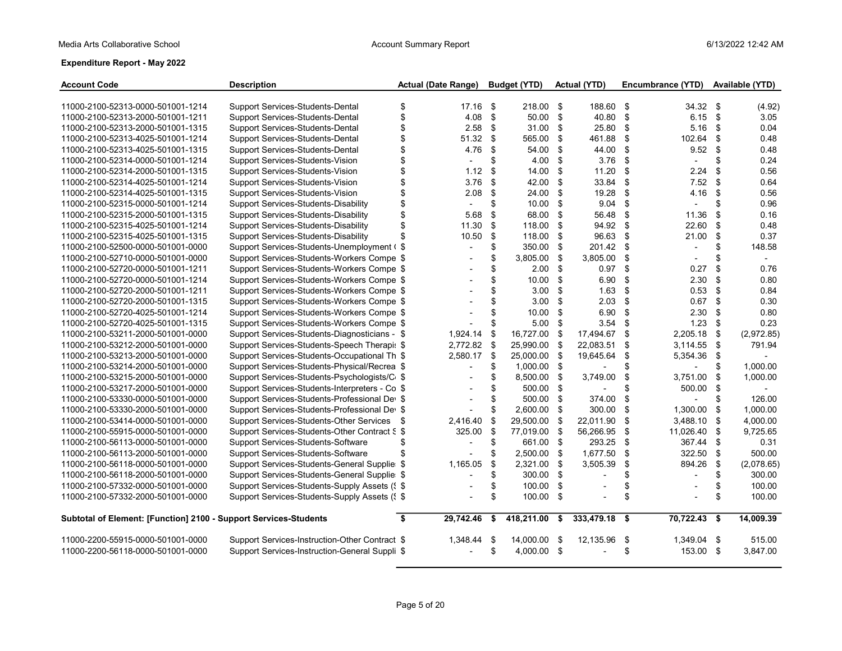| <b>Account Code</b>                                              | <b>Description</b>                             |      | <b>Actual (Date Range)</b> |     | <b>Budget (YTD)</b> |      | <b>Actual (YTD)</b>      |      | Encumbrance (YTD)        |     | Available (YTD) |
|------------------------------------------------------------------|------------------------------------------------|------|----------------------------|-----|---------------------|------|--------------------------|------|--------------------------|-----|-----------------|
|                                                                  |                                                |      |                            |     |                     |      |                          |      |                          |     |                 |
| 11000-2100-52313-0000-501001-1214                                | Support Services-Students-Dental               | \$   | 17.16                      | \$  | 218.00 \$           |      | 188.60 \$                |      | $34.32$ \$               |     | (4.92)          |
| 11000-2100-52313-2000-501001-1211                                | Support Services-Students-Dental               | \$   | 4.08                       | \$  | 50.00               | \$   | 40.80                    | \$   | 6.15                     | \$  | 3.05            |
| 11000-2100-52313-2000-501001-1315                                | Support Services-Students-Dental               | \$   | 2.58                       | \$  | 31.00               | \$   | 25.80                    | \$   | 5.16                     | -\$ | 0.04            |
| 11000-2100-52313-4025-501001-1214                                | Support Services-Students-Dental               | \$   | 51.32                      | \$  | 565.00              | \$   | 461.88                   | \$   | 102.64                   | \$  | 0.48            |
| 11000-2100-52313-4025-501001-1315                                | Support Services-Students-Dental               | \$   | 4.76                       | \$  | 54.00               | \$   | 44.00                    | \$   | 9.52                     | \$  | 0.48            |
| 11000-2100-52314-0000-501001-1214                                | Support Services-Students-Vision               | \$   | $\blacksquare$             | \$  | 4.00                | \$   | 3.76                     | \$   |                          | \$  | 0.24            |
| 11000-2100-52314-2000-501001-1315                                | Support Services-Students-Vision               | \$   | 1.12                       | \$  | 14.00               | \$   | 11.20                    | \$   | 2.24                     | \$  | 0.56            |
| 11000-2100-52314-4025-501001-1214                                | Support Services-Students-Vision               | \$   | 3.76                       | \$  | 42.00               | \$   | 33.84                    | \$   | 7.52                     | \$  | 0.64            |
| 11000-2100-52314-4025-501001-1315                                | Support Services-Students-Vision               | \$   | 2.08                       | \$  | 24.00               | \$   | 19.28                    | \$   | 4.16                     | \$  | 0.56            |
| 11000-2100-52315-0000-501001-1214                                | Support Services-Students-Disability           | \$   |                            | \$  | 10.00               | \$   | 9.04                     | \$   |                          | \$  | 0.96            |
| 11000-2100-52315-2000-501001-1315                                | Support Services-Students-Disability           | \$   | 5.68                       | \$  | 68.00               | \$   | 56.48                    | \$   | 11.36                    | \$  | 0.16            |
| 11000-2100-52315-4025-501001-1214                                | Support Services-Students-Disability           | \$   | 11.30                      | \$  | 118.00              | \$   | 94.92                    | \$   | 22.60                    | \$  | 0.48            |
| 11000-2100-52315-4025-501001-1315                                | Support Services-Students-Disability           | \$   | 10.50                      | \$  | 118.00              | -\$  | 96.63                    | \$   | 21.00                    | \$  | 0.37            |
| 11000-2100-52500-0000-501001-0000                                | Support Services-Students-Unemployment (\$     |      | $\blacksquare$             | \$  | 350.00              | \$   | 201.42 \$                |      |                          | \$  | 148.58          |
| 11000-2100-52710-0000-501001-0000                                | Support Services-Students-Workers Compe \$     |      | $\blacksquare$             | \$  | 3.805.00            | \$   | 3,805.00                 | \$   |                          | \$  |                 |
| 11000-2100-52720-0000-501001-1211                                | Support Services-Students-Workers Compe \$     |      |                            | \$  | 2.00                | \$   | 0.97                     | - \$ | 0.27                     | \$  | 0.76            |
| 11000-2100-52720-0000-501001-1214                                | Support Services-Students-Workers Compe \$     |      |                            | \$  | 10.00               | \$   | 6.90                     | \$   | 2.30                     | \$  | 0.80            |
| 11000-2100-52720-2000-501001-1211                                | Support Services-Students-Workers Compe \$     |      |                            | \$  | 3.00                | \$   | 1.63                     | \$   | 0.53                     | \$  | 0.84            |
| 11000-2100-52720-2000-501001-1315                                | Support Services-Students-Workers Compe \$     |      |                            | \$  | 3.00                | \$   | 2.03                     | \$   | 0.67                     | \$  | 0.30            |
| 11000-2100-52720-4025-501001-1214                                | Support Services-Students-Workers Compe \$     |      |                            | \$  | 10.00               | \$   | 6.90                     | \$   | 2.30                     | -\$ | 0.80            |
| 11000-2100-52720-4025-501001-1315                                | Support Services-Students-Workers Compe \$     |      |                            | \$  | 5.00                | \$   | 3.54                     | -\$  | 1.23                     | \$  | 0.23            |
| 11000-2100-53211-2000-501001-0000                                | Support Services-Students-Diagnosticians - \$  |      | 1,924.14                   | \$  | 16.727.00           | -\$  | 17,494.67                | \$   | 2,205.18                 | \$  | (2,972.85)      |
| 11000-2100-53212-2000-501001-0000                                | Support Services-Students-Speech Therapis \$   |      | 2,772.82                   | \$  | 25,990.00 \$        |      | 22,083.51                | \$   | 3,114.55                 | \$  | 791.94          |
| 11000-2100-53213-2000-501001-0000                                | Support Services-Students-Occupational Th \$   |      | 2,580.17                   | \$  | 25,000.00           | \$   | 19,645.64                | \$   | 5,354.36                 | -\$ |                 |
| 11000-2100-53214-2000-501001-0000                                | Support Services-Students-Physical/Recrea \$   |      | $\overline{\phantom{a}}$   | \$  | 1,000.00 \$         |      |                          | \$   | $\overline{\phantom{0}}$ | \$  | 1,000.00        |
| 11000-2100-53215-2000-501001-0000                                | Support Services-Students-Psychologists/C+\$   |      |                            | \$  | 8,500.00 \$         |      | 3,749.00                 | \$   | 3,751.00                 | \$  | 1,000.00        |
| 11000-2100-53217-2000-501001-0000                                | Support Services-Students-Interpreters - Co \$ |      |                            | \$  | 500.00 \$           |      |                          | \$   | 500.00                   | -\$ | $\overline{a}$  |
| 11000-2100-53330-0000-501001-0000                                | Support Services-Students-Professional Dev \$  |      |                            | \$  | 500.00              | \$   | 374.00                   | \$   | $\overline{a}$           | \$  | 126.00          |
| 11000-2100-53330-2000-501001-0000                                | Support Services-Students-Professional Dev \$  |      |                            | \$  | 2.600.00 \$         |      | 300.00                   | \$   | 1,300.00                 | \$  | 1.000.00        |
| 11000-2100-53414-0000-501001-0000                                | Support Services-Students-Other Services       | - \$ | 2,416.40                   | \$  | 29,500.00           | \$   | 22,011.90                | \$   | 3,488.10                 | \$  | 4,000.00        |
| 11000-2100-55915-0000-501001-0000                                | Support Services-Students-Other Contract S \$  |      | 325.00                     | \$  | 77,019.00           | - \$ | 56,266.95                | \$   | 11,026.40                | \$  | 9,725.65        |
| 11000-2100-56113-0000-501001-0000                                | Support Services-Students-Software             | \$   |                            | \$  | 661.00              | - \$ | 293.25                   | \$   | 367.44                   | \$  | 0.31            |
| 11000-2100-56113-2000-501001-0000                                | Support Services-Students-Software             | \$   |                            | \$  | 2,500.00 \$         |      | 1,677.50                 | \$   | 322.50                   | \$  | 500.00          |
| 11000-2100-56118-0000-501001-0000                                | Support Services-Students-General Supplie: \$  |      | 1,165.05                   | \$  | 2,321.00 \$         |      | 3,505.39                 | \$   | 894.26                   | \$  | (2,078.65)      |
| 11000-2100-56118-2000-501001-0000                                | Support Services-Students-General Supplie: \$  |      | $\overline{\phantom{a}}$   | \$  | 300.00 \$           |      | $\overline{\phantom{a}}$ | \$   | $\overline{\phantom{a}}$ | \$  | 300.00          |
| 11000-2100-57332-0000-501001-0000                                | Support Services-Students-Supply Assets (§ \$  |      |                            | \$  | 100.00              | \$   |                          | \$   |                          | \$  | 100.00          |
| 11000-2100-57332-2000-501001-0000                                | Support Services-Students-Supply Assets (1 \$  |      | $\overline{a}$             | \$  | 100.00 \$           |      | $\overline{a}$           | \$   |                          | \$  | 100.00          |
| Subtotal of Element: [Function] 2100 - Support Services-Students |                                                | Ŝ.   | 29.742.46                  | \$  | 418,211.00          | \$   | 333,479.18               | - \$ | $70,722.43$ \$           |     | 14,009.39       |
| 11000-2200-55915-0000-501001-0000                                | Support Services-Instruction-Other Contract \$ |      | 1,348.44                   | -\$ | 14,000.00 \$        |      | 12,135.96                | - \$ | 1,349.04                 | -\$ | 515.00          |
| 11000-2200-56118-0000-501001-0000                                | Support Services-Instruction-General Suppli \$ |      | $\overline{\phantom{a}}$   | \$  | 4,000.00 \$         |      |                          | \$   | 153.00 \$                |     | 3,847.00        |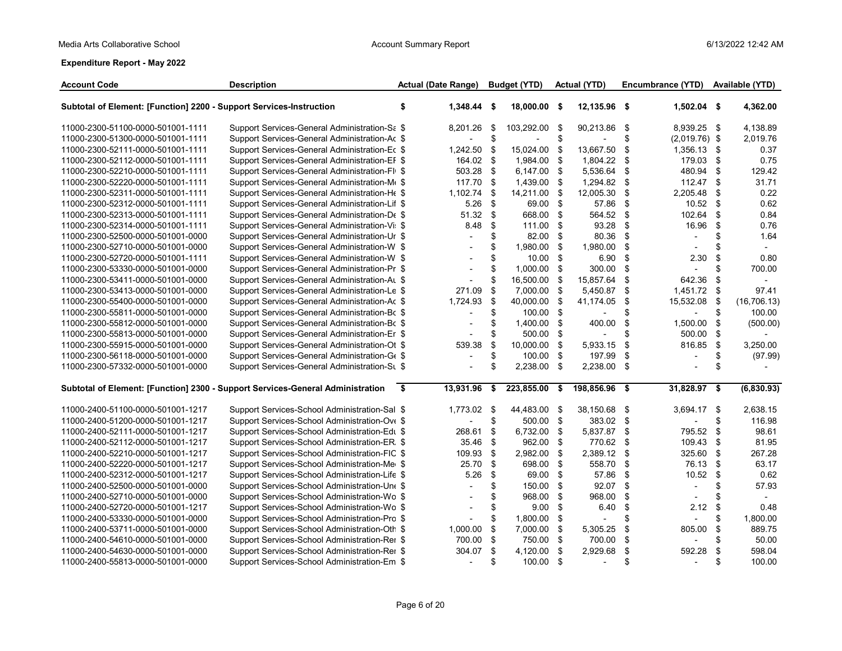| <b>Account Code</b>                                                 | <b>Description</b>                                                             |                    | <b>Actual (Date Range)</b> |      | <b>Budget (YTD)</b> |      | Actual (YTD)  |               | Encumbrance (YTD) |     | Available (YTD) |
|---------------------------------------------------------------------|--------------------------------------------------------------------------------|--------------------|----------------------------|------|---------------------|------|---------------|---------------|-------------------|-----|-----------------|
| Subtotal of Element: [Function] 2200 - Support Services-Instruction |                                                                                | \$                 | 1,348.44 \$                |      | 18,000.00 \$        |      | 12,135.96 \$  |               | 1,502.04 \$       |     | 4,362.00        |
| 11000-2300-51100-0000-501001-1111                                   | Support Services-General Administration-Sa \$                                  |                    | 8,201.26                   | - \$ | 103,292.00          | -\$  | 90,213.86     | \$            | 8,939.25 \$       |     | 4,138.89        |
| 11000-2300-51300-0000-501001-1111                                   | Support Services-General Administration-Ac \$                                  |                    |                            | \$.  |                     | \$   |               | \$            | $(2,019.76)$ \$   |     | 2.019.76        |
| 11000-2300-52111-0000-501001-1111                                   | Support Services-General Administration-Ec \$                                  |                    | 1,242.50                   | -\$  | 15,024.00           | -\$  | 13,667.50     | \$            | 1,356.13 \$       |     | 0.37            |
| 11000-2300-52112-0000-501001-1111                                   | Support Services-General Administration-EF \$                                  |                    | 164.02 \$                  |      | 1,984.00            | \$   | 1,804.22      | \$            | 179.03            | \$  | 0.75            |
| 11000-2300-52210-0000-501001-1111                                   | Support Services-General Administration-Fl(\$                                  |                    | 503.28                     | - \$ | 6,147.00 \$         |      | 5,536.64      | \$            | 480.94            | \$  | 129.42          |
| 11000-2300-52220-0000-501001-1111                                   | Support Services-General Administration-M€ \$                                  |                    | 117.70                     | \$   | 1,439.00            | -\$  | 1,294.82      | \$            | 112.47            | -\$ | 31.71           |
| 11000-2300-52311-0000-501001-1111                                   | Support Services-General Administration-He \$                                  |                    | 1,102.74                   | \$   | 14,211.00           | -\$  | 12,005.30     | \$            | 2,205.48          | \$  | 0.22            |
| 11000-2300-52312-0000-501001-1111                                   | Support Services-General Administration-Lif \$                                 |                    | 5.26                       | - \$ | 69.00 \$            |      | 57.86         | <sup>\$</sup> | 10.52             | \$  | 0.62            |
| 11000-2300-52313-0000-501001-1111                                   | Support Services-General Administration-De \$                                  |                    | $51.32$ \$                 |      | 668.00 \$           |      | 564.52        | \$            | 102.64            | \$  | 0.84            |
| 11000-2300-52314-0000-501001-1111                                   | Support Services-General Administration-Vi: \$                                 |                    | 8.48                       | \$   | 111.00 \$           |      | 93.28         | \$            | 16.96             | \$  | 0.76            |
| 11000-2300-52500-0000-501001-0000                                   | Support Services-General Administration-Ur \$                                  |                    | $\overline{\phantom{a}}$   | \$   | 82.00 \$            |      | 80.36         | \$            |                   | \$  | 1.64            |
| 11000-2300-52710-0000-501001-0000                                   | Support Services-General Administration-W \$                                   |                    |                            | \$   | 1,980.00            | -\$  | 1,980.00      | \$            |                   | \$  |                 |
| 11000-2300-52720-0000-501001-1111                                   | Support Services-General Administration-W \$                                   |                    |                            | \$   | $10.00$ \$          |      | 6.90          | \$            | 2.30              | \$  | 0.80            |
| 11000-2300-53330-0000-501001-0000                                   | Support Services-General Administration-Pr \$                                  |                    | $\overline{\phantom{a}}$   | \$   | 1,000.00 \$         |      | 300.00        | <sup>\$</sup> |                   | \$  | 700.00          |
| 11000-2300-53411-0000-501001-0000                                   | Support Services-General Administration-AL \$                                  |                    |                            | \$   | 16,500.00           | - \$ | 15,857.64     | \$            | 642.36            | \$  |                 |
| 11000-2300-53413-0000-501001-0000                                   | Support Services-General Administration-Le \$                                  |                    | 271.09                     | \$   | 7,000.00 \$         |      | 5,450.87      | \$            | 1,451.72          | \$  | 97.41           |
| 11000-2300-55400-0000-501001-0000                                   | Support Services-General Administration-Ac \$                                  |                    | 1,724.93                   | \$   | 40,000.00           | -\$  | 41,174.05     | \$            | 15,532.08         | \$  | (16, 706.13)    |
| 11000-2300-55811-0000-501001-0000                                   | Support Services-General Administration-Bc \$                                  |                    |                            | S    | 100.00 \$           |      |               | \$            |                   | \$  | 100.00          |
| 11000-2300-55812-0000-501001-0000                                   | Support Services-General Administration-Bc \$                                  |                    | $\overline{\phantom{a}}$   | \$   | 1,400.00 \$         |      | 400.00        | \$            | 1,500.00          | \$  | (500.00)        |
| 11000-2300-55813-0000-501001-0000                                   | Support Services-General Administration-Er \$                                  |                    |                            | \$   | 500.00 \$           |      |               | \$            | 500.00            | \$  |                 |
| 11000-2300-55915-0000-501001-0000                                   | Support Services-General Administration-Ot \$                                  |                    | 539.38                     | \$   | 10,000.00 \$        |      | 5,933.15      | \$            | 816.85            | \$  | 3,250.00        |
| 11000-2300-56118-0000-501001-0000                                   | Support Services-General Administration-Ge \$                                  |                    |                            | \$   | 100.00 \$           |      | 197.99        | \$            | $\blacksquare$    | \$  | (97.99)         |
| 11000-2300-57332-0000-501001-0000                                   | Support Services-General Administration-SL \$                                  |                    |                            | \$   | 2,238.00 \$         |      | 2,238.00      | \$            |                   | \$  |                 |
|                                                                     | Subtotal of Element: [Function] 2300 - Support Services-General Administration | $\overline{\cdot}$ | 13,931.96 \$               |      | 223,855.00 \$       |      | 198,856.96 \$ |               | 31,828.97 \$      |     | (6,830.93)      |
| 11000-2400-51100-0000-501001-1217                                   | Support Services-School Administration-Sal \$                                  |                    | 1,773.02 \$                |      | 44,483.00 \$        |      | 38,150.68     | -\$           | 3,694.17 \$       |     | 2,638.15        |
| 11000-2400-51200-0000-501001-1217                                   | Support Services-School Administration-Ove \$                                  |                    |                            | \$   | 500.00 \$           |      | 383.02 \$     |               |                   | \$  | 116.98          |
| 11000-2400-52111-0000-501001-1217                                   | Support Services-School Administration-Edu \$                                  |                    | 268.61                     | \$   | 6,732.00 \$         |      | 5,837.87      | \$            | 795.52            | \$  | 98.61           |
| 11000-2400-52112-0000-501001-1217                                   | Support Services-School Administration-ER. \$                                  |                    | 35.46                      | - \$ | 962.00 \$           |      | 770.62        | \$            | 109.43            | \$  | 81.95           |
| 11000-2400-52210-0000-501001-1217                                   | Support Services-School Administration-FIC \$                                  |                    | 109.93 \$                  |      | 2,982.00 \$         |      | 2,389.12      | \$            | 325.60            | \$  | 267.28          |
| 11000-2400-52220-0000-501001-1217                                   | Support Services-School Administration-Mer \$                                  |                    | 25.70                      | \$   | 698.00 \$           |      | 558.70        | \$            | 76.13             | \$  | 63.17           |
| 11000-2400-52312-0000-501001-1217                                   | Support Services-School Administration-Life \$                                 |                    | 5.26                       | \$   | 69.00               | - \$ | 57.86         | \$            | 10.52             | \$  | 0.62            |
| 11000-2400-52500-0000-501001-0000                                   | Support Services-School Administration-Une \$                                  |                    |                            | \$   | 150.00 \$           |      | 92.07         | \$            |                   | \$  | 57.93           |
| 11000-2400-52710-0000-501001-0000                                   | Support Services-School Administration-Wo \$                                   |                    |                            | \$   | 968.00              | - \$ | 968.00        | \$            |                   | \$  | $\sim$          |
| 11000-2400-52720-0000-501001-1217                                   | Support Services-School Administration-Wo \$                                   |                    |                            | \$   | $9.00$ \$           |      | 6.40          | \$            | 2.12              | \$  | 0.48            |
| 11000-2400-53330-0000-501001-0000                                   | Support Services-School Administration-Pro \$                                  |                    |                            | \$   | 1,800.00 \$         |      |               | \$            |                   | \$  | 1,800.00        |
| 11000-2400-53711-0000-501001-0000                                   | Support Services-School Administration-Oth \$                                  |                    | 1,000.00                   | \$   | 7,000.00 \$         |      | 5,305.25      | \$            | 805.00            | \$  | 889.75          |
| 11000-2400-54610-0000-501001-0000                                   | Support Services-School Administration-Rer \$                                  |                    | 700.00                     | \$   | 750.00 \$           |      | 700.00        | \$            |                   | \$  | 50.00           |
| 11000-2400-54630-0000-501001-0000                                   | Support Services-School Administration-Rer \$                                  |                    | 304.07 \$                  |      | 4,120.00 \$         |      | 2,929.68      | \$            | 592.28            | \$  | 598.04          |
| 11000-2400-55813-0000-501001-0000                                   | Support Services-School Administration-Em \$                                   |                    | $\overline{\phantom{a}}$   | \$.  | 100.00 \$           |      |               | \$            |                   | \$  | 100.00          |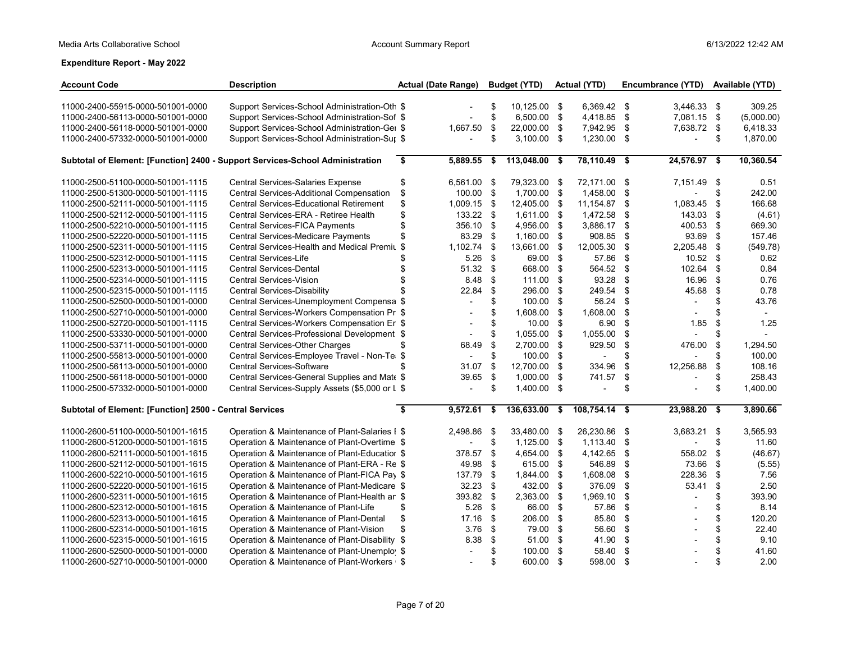| <b>Account Code</b>                                     | <b>Description</b>                                                            | <b>Actual (Date Range)</b> |     | <b>Budget (YTD)</b> |     | <b>Actual (YTD)</b>      |     | Encumbrance (YTD)         |     | Available (YTD) |
|---------------------------------------------------------|-------------------------------------------------------------------------------|----------------------------|-----|---------------------|-----|--------------------------|-----|---------------------------|-----|-----------------|
| 11000-2400-55915-0000-501001-0000                       | Support Services-School Administration-Oth \$                                 |                            | \$  | 10,125.00 \$        |     | 6,369.42 \$              |     | 3,446.33 \$               |     | 309.25          |
| 11000-2400-56113-0000-501001-0000                       | Support Services-School Administration-Sof \$                                 |                            | \$  | 6,500.00 \$         |     | 4,418.85 \$              |     | 7,081.15 \$               |     | (5,000.00)      |
| 11000-2400-56118-0000-501001-0000                       | Support Services-School Administration-Ger \$                                 | 1,667.50                   | \$  | 22,000.00 \$        |     | 7,942.95 \$              |     | 7,638.72 \$               |     | 6,418.33        |
| 11000-2400-57332-0000-501001-0000                       | Support Services-School Administration-Sur \$                                 |                            | \$  | $3,100.00$ \$       |     | 1,230.00 \$              |     | $\overline{a}$            | \$  | 1,870.00        |
|                                                         |                                                                               |                            |     |                     |     |                          |     |                           |     |                 |
|                                                         | Subtotal of Element: [Function] 2400 - Support Services-School Administration | \$<br>5,889.55 \$          |     | 113,048.00 \$       |     | $78,110.49$ \$           |     | $\overline{24,576.97}$ \$ |     | 10,360.54       |
| 11000-2500-51100-0000-501001-1115                       | Central Services-Salaries Expense                                             | \$<br>6,561.00 \$          |     | 79,323.00 \$        |     | 72,171.00 \$             |     | 7,151.49                  | \$  | 0.51            |
| 11000-2500-51300-0000-501001-1115                       | Central Services-Additional Compensation                                      | \$<br>100.00               | -\$ | 1.700.00 \$         |     | 1,458.00                 | \$  |                           | \$  | 242.00          |
| 11000-2500-52111-0000-501001-1115                       | Central Services-Educational Retirement                                       | \$<br>1,009.15             | \$  | 12,405.00 \$        |     | 11,154.87 \$             |     | 1,083.45                  | \$  | 166.68          |
| 11000-2500-52112-0000-501001-1115                       | Central Services-ERA - Retiree Health                                         | \$<br>133.22 \$            |     | 1,611.00 \$         |     | 1,472.58                 | \$  | 143.03                    | \$  | (4.61)          |
| 11000-2500-52210-0000-501001-1115                       | Central Services-FICA Payments                                                | \$<br>356.10               | \$  | 4,956.00            | -\$ | 3,886.17                 | -\$ | 400.53                    | \$  | 669.30          |
| 11000-2500-52220-0000-501001-1115                       | Central Services-Medicare Payments                                            | \$<br>83.29                | \$  | 1,160.00            | \$  | 908.85                   | \$  | 93.69                     | \$  | 157.46          |
| 11000-2500-52311-0000-501001-1115                       | Central Services-Health and Medical Premit                                    | 1,102.74<br>\$             | \$  | 13,661.00           | \$  | 12,005.30                | \$  | 2,205.48                  | \$  | (549.78)        |
| 11000-2500-52312-0000-501001-1115                       | Central Services-Life                                                         | 5.26                       | \$  | 69.00               | \$  | 57.86                    | \$  | 10.52                     | -\$ | 0.62            |
| 11000-2500-52313-0000-501001-1115                       | <b>Central Services-Dental</b>                                                | 51.32<br>\$                | \$  | 668.00              | \$  | 564.52 \$                |     | 102.64                    | \$  | 0.84            |
| 11000-2500-52314-0000-501001-1115                       | <b>Central Services-Vision</b>                                                | 8.48                       | \$  | 111.00              | \$  | 93.28                    | \$  | 16.96                     | \$  | 0.76            |
| 11000-2500-52315-0000-501001-1115                       | <b>Central Services-Disability</b>                                            | 22.84                      | \$  | 296.00              | \$  | 249.54                   | \$  | 45.68                     | -\$ | 0.78            |
| 11000-2500-52500-0000-501001-0000                       | Central Services-Unemployment Compensa \$                                     | $\overline{\phantom{a}}$   | \$  | 100.00              | \$  | 56.24                    | \$  |                           | \$  | 43.76           |
| 11000-2500-52710-0000-501001-0000                       | Central Services-Workers Compensation Pr \$                                   | $\overline{\phantom{a}}$   | \$  | 1,608.00            | \$  | 1,608.00                 | \$  |                           | \$  | $\sim$          |
| 11000-2500-52720-0000-501001-1115                       | Central Services-Workers Compensation En \$                                   |                            | \$  | $10.00$ \$          |     | 6.90                     | \$  | 1.85                      | \$  | 1.25            |
| 11000-2500-53330-0000-501001-0000                       | Central Services-Professional Development \$                                  |                            | \$  | 1,055.00            | \$  | 1,055.00                 | \$  |                           | \$  |                 |
| 11000-2500-53711-0000-501001-0000                       | Central Services-Other Charges                                                | \$<br>68.49                | \$  | 2,700.00            | \$  | 929.50                   | \$  | 476.00                    | \$  | 1,294.50        |
| 11000-2500-55813-0000-501001-0000                       | Central Services-Employee Travel - Non-Te \$                                  | $\overline{\phantom{a}}$   | \$  | 100.00              | \$  | $\overline{\phantom{a}}$ | \$  |                           | \$  | 100.00          |
| 11000-2500-56113-0000-501001-0000                       | <b>Central Services-Software</b>                                              | \$<br>31.07                | \$  | 12,700.00           | \$  | 334.96                   | \$  | 12,256.88                 | \$  | 108.16          |
| 11000-2500-56118-0000-501001-0000                       | Central Services-General Supplies and Mate \$                                 | 39.65                      | \$  | 1.000.00            | \$  | 741.57                   | \$  |                           | \$  | 258.43          |
| 11000-2500-57332-0000-501001-0000                       | Central Services-Supply Assets (\$5,000 or L \$                               | $\sim$                     | \$  | 1,400.00 \$         |     | $\overline{\phantom{a}}$ | \$  |                           | \$  | 1,400.00        |
| Subtotal of Element: [Function] 2500 - Central Services |                                                                               | \$<br>$9,572.61$ \$        |     | 136,633.00          | \$  | 108,754.14 \$            |     | 23,988.20                 | \$  | 3,890.66        |
| 11000-2600-51100-0000-501001-1615                       | Operation & Maintenance of Plant-Salaries I \$                                | 2,498.86                   | -\$ | 33,480.00 \$        |     | 26,230.86 \$             |     | 3,683.21                  | \$  | 3,565.93        |
| 11000-2600-51200-0000-501001-1615                       | Operation & Maintenance of Plant-Overtime \$                                  |                            | \$  | 1,125.00 \$         |     | 1,113.40                 | \$  | $\overline{a}$            | \$  | 11.60           |
| 11000-2600-52111-0000-501001-1615                       | Operation & Maintenance of Plant-Educatior \$                                 | 378.57                     | -\$ | 4,654.00            | \$  | 4,142.65                 | -\$ | 558.02                    | -\$ | (46.67)         |
| 11000-2600-52112-0000-501001-1615                       | Operation & Maintenance of Plant-ERA - Re \$                                  | 49.98                      | \$  | 615.00              | \$  | 546.89                   | \$  | 73.66                     | \$  | (5.55)          |
| 11000-2600-52210-0000-501001-1615                       | Operation & Maintenance of Plant-FICA Pay \$                                  | 137.79                     | \$  | 1,844.00            | \$  | 1,608.08                 | \$  | 228.36                    | \$  | 7.56            |
| 11000-2600-52220-0000-501001-1615                       | Operation & Maintenance of Plant-Medicare \$                                  | 32.23                      | -\$ | 432.00              | \$  | 376.09                   | \$  | 53.41                     | \$  | 2.50            |
| 11000-2600-52311-0000-501001-1615                       | Operation & Maintenance of Plant-Health an \$                                 | 393.82                     | \$  | 2,363.00            | \$  | 1,969.10                 | \$  |                           | \$  | 393.90          |
| 11000-2600-52312-0000-501001-1615                       | Operation & Maintenance of Plant-Life                                         | \$<br>5.26                 | \$  | 66.00               | \$  | 57.86                    | \$  |                           | \$  | 8.14            |
| 11000-2600-52313-0000-501001-1615                       | Operation & Maintenance of Plant-Dental                                       | \$<br>17.16                | \$  | 206.00              | \$  | 85.80                    | \$  |                           | \$  | 120.20          |
| 11000-2600-52314-0000-501001-1615                       | Operation & Maintenance of Plant-Vision                                       | \$<br>3.76                 | \$  | 79.00               | \$  | 56.60                    | \$  |                           | \$  | 22.40           |
| 11000-2600-52315-0000-501001-1615                       | Operation & Maintenance of Plant-Disability \$                                | 8.38                       | \$  | 51.00               | \$  | 41.90                    | \$  |                           | \$  | 9.10            |
| 11000-2600-52500-0000-501001-0000                       | Operation & Maintenance of Plant-Unemploy \$                                  | $\overline{\phantom{a}}$   | \$  | 100.00              | \$  | 58.40                    | \$  |                           | \$  | 41.60           |
| 11000-2600-52710-0000-501001-0000                       | Operation & Maintenance of Plant-Workers   \$                                 | $\overline{\phantom{a}}$   | \$  | 600.00 \$           |     | 598.00 \$                |     |                           | \$  | 2.00            |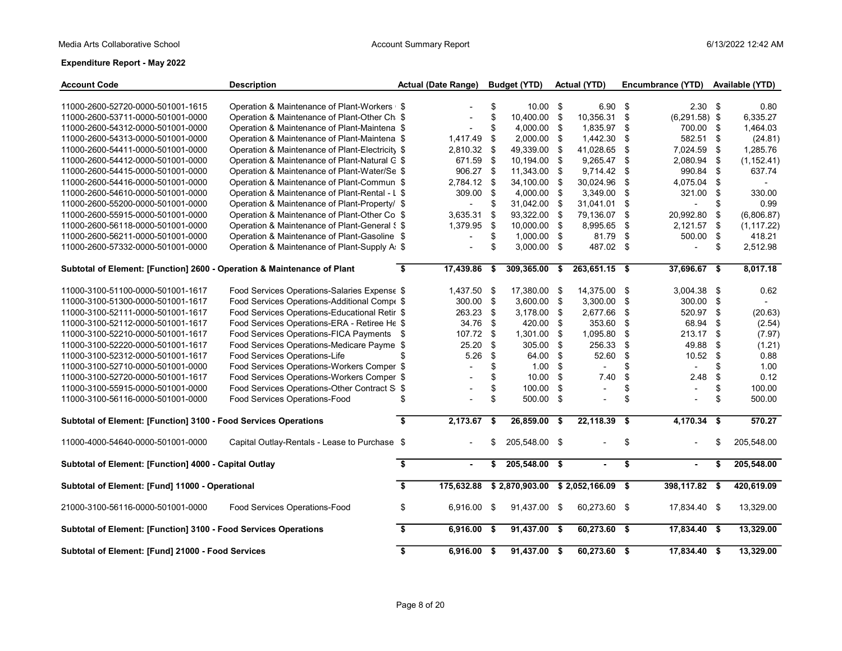| <b>Account Code</b>                                                     | <b>Description</b>                                                          |                         | <b>Actual (Date Range)</b> |          | <b>Budget (YTD)</b>      |      | <b>Actual (YTD)</b>      |          | Encumbrance (YTD)        |          | Available (YTD) |
|-------------------------------------------------------------------------|-----------------------------------------------------------------------------|-------------------------|----------------------------|----------|--------------------------|------|--------------------------|----------|--------------------------|----------|-----------------|
| 11000-2600-52720-0000-501001-1615                                       | Operation & Maintenance of Plant-Workers   \$                               |                         |                            | \$       | $10.00$ \$               |      | 6.90 <sup>5</sup>        |          | 2.30 <sup>5</sup>        |          | 0.80            |
| 11000-2600-53711-0000-501001-0000                                       | Operation & Maintenance of Plant-Other Ch. \$                               |                         | $\overline{\phantom{a}}$   | \$       | 10,400.00 \$             |      | 10,356.31 \$             |          | $(6,291.58)$ \$          |          | 6,335.27        |
| 11000-2600-54312-0000-501001-0000                                       | Operation & Maintenance of Plant-Maintena \$                                |                         | $\overline{\phantom{a}}$   | \$       | 4,000.00 \$              |      | 1,835.97 \$              |          | 700.00 \$                |          | 1,464.03        |
| 11000-2600-54313-0000-501001-0000                                       | Operation & Maintenance of Plant-Maintena \$                                |                         | 1,417.49                   | \$       | 2,000.00 \$              |      | 1,442.30 \$              |          | 582.51                   | \$       | (24.81)         |
| 11000-2600-54411-0000-501001-0000                                       | Operation & Maintenance of Plant-Electricity \$                             |                         | 2,810.32                   | \$       | 49,339.00 \$             |      | 41,028.65 \$             |          | 7,024.59                 | \$       | 1,285.76        |
| 11000-2600-54412-0000-501001-0000                                       | Operation & Maintenance of Plant-Natural G \$                               |                         | 671.59 \$                  |          | 10,194.00 \$             |      | 9,265.47 \$              |          | 2,080.94                 | \$       | (1, 152.41)     |
| 11000-2600-54415-0000-501001-0000                                       | Operation & Maintenance of Plant-Water/Se \$                                |                         | 906.27 \$                  |          | 11,343.00 \$             |      | 9,714.42 \$              |          | 990.84                   | \$       | 637.74          |
| 11000-2600-54416-0000-501001-0000                                       | Operation & Maintenance of Plant-Commun \$                                  |                         | 2,784.12                   | \$       | 34,100.00 \$             |      | 30,024.96                | \$       | 4,075.04                 | \$       | $\sim$          |
| 11000-2600-54610-0000-501001-0000                                       | Operation & Maintenance of Plant-Rental - L \$                              |                         | 309.00                     | \$       | 4,000.00 \$              |      | 3,349.00                 | -\$      | 321.00                   | \$       | 330.00          |
| 11000-2600-55200-0000-501001-0000                                       | Operation & Maintenance of Plant-Property/ \$                               |                         | $\sim$                     | \$       | 31,042.00 \$             |      | 31,041.01 \$             |          |                          | \$       | 0.99            |
| 11000-2600-55915-0000-501001-0000                                       | Operation & Maintenance of Plant-Other Co \$                                |                         | 3,635.31                   | \$       | 93,322.00 \$             |      | 79,136.07 \$             |          | 20,992.80                | \$       | (6,806.87)      |
| 11000-2600-56118-0000-501001-0000                                       | Operation & Maintenance of Plant-General § \$                               |                         | 1,379.95                   | \$       | 10,000.00 \$             |      | 8,995.65 \$              |          | 2,121.57                 | \$       | (1, 117.22)     |
| 11000-2600-56211-0000-501001-0000                                       | Operation & Maintenance of Plant-Gasoline \$                                |                         | $\overline{\phantom{a}}$   | \$       | 1,000.00 \$              |      | 81.79 \$                 |          | 500.00                   | \$       | 418.21          |
| 11000-2600-57332-0000-501001-0000                                       | Operation & Maintenance of Plant-Supply A: \$                               |                         |                            | \$       | $3,000.00$ \$            |      | 487.02 \$                |          |                          | \$       | 2,512.98        |
| Subtotal of Element: [Function] 2600 - Operation & Maintenance of Plant |                                                                             | \$                      | 17,439.86                  | \$       | 309,365.00               | \$   | $263,651.15$ \$          |          | 37,696.67 \$             |          | 8,017.18        |
|                                                                         |                                                                             |                         |                            |          |                          |      |                          |          |                          |          |                 |
| 11000-3100-51100-0000-501001-1617                                       | Food Services Operations-Salaries Expense \$                                |                         | 1,437.50 \$                |          | 17,380.00 \$             |      | 14,375.00 \$             |          | 3,004.38 \$              |          | 0.62            |
| 11000-3100-51300-0000-501001-1617                                       | Food Services Operations-Additional Compe \$                                |                         | 300.00                     | \$       | 3,600.00 \$              |      | 3,300.00 \$              |          | 300.00                   | \$       |                 |
| 11000-3100-52111-0000-501001-1617                                       | Food Services Operations-Educational Retir \$                               |                         | 263.23 \$                  |          | 3,178.00 \$              |      | 2,677.66 \$              |          | 520.97                   | \$       | (20.63)         |
| 11000-3100-52112-0000-501001-1617                                       | Food Services Operations-ERA - Retiree He \$                                |                         | 34.76 \$                   |          | 420.00 \$                |      | 353.60 \$                |          | 68.94                    | \$       | (2.54)          |
| 11000-3100-52210-0000-501001-1617                                       | Food Services Operations-FICA Payments \$                                   |                         | 107.72                     | \$       | 1,301.00 \$<br>305.00 \$ |      | 1,095.80<br>256.33       | \$       | 213.17                   | \$       | (7.97)          |
| 11000-3100-52220-0000-501001-1617<br>11000-3100-52312-0000-501001-1617  | Food Services Operations-Medicare Payme \$<br>Food Services Operations-Life |                         | 25.20<br>5.26              | \$<br>\$ | 64.00 \$                 |      | 52.60                    | \$<br>\$ | 49.88<br>10.52           | \$<br>\$ | (1.21)<br>0.88  |
| 11000-3100-52710-0000-501001-0000                                       | Food Services Operations-Workers Comper \$                                  |                         |                            | \$       | $1.00$ \$                |      | $\overline{\phantom{a}}$ | \$       |                          | \$       | 1.00            |
| 11000-3100-52720-0000-501001-1617                                       | Food Services Operations-Workers Comper \$                                  |                         |                            | \$       | 10.00                    | \$   | 7.40                     | \$       | 2.48                     | \$       | 0.12            |
| 11000-3100-55915-0000-501001-0000                                       | Food Services Operations-Other Contract S \$                                |                         |                            | \$       | 100.00 \$                |      | $\overline{\phantom{a}}$ | \$       | $\overline{\phantom{a}}$ | \$       | 100.00          |
| 11000-3100-56116-0000-501001-0000                                       | Food Services Operations-Food                                               | \$                      |                            | \$       | 500.00 \$                |      |                          | \$       |                          | \$       | 500.00          |
|                                                                         |                                                                             |                         |                            |          |                          |      |                          |          |                          |          |                 |
| Subtotal of Element: [Function] 3100 - Food Services Operations         |                                                                             | \$                      | $2,173.67$ \$              |          | $26,859.00$ \$           |      | $22,118.39$ \$           |          | $4,170.34$ \$            |          | 570.27          |
| 11000-4000-54640-0000-501001-0000                                       | Capital Outlay-Rentals - Lease to Purchase \$                               |                         |                            | \$       | 205,548.00 \$            |      |                          | \$       |                          | \$       | 205,548.00      |
| Subtotal of Element: [Function] 4000 - Capital Outlay                   |                                                                             | \$                      | $\sim$                     | \$       | 205,548.00 \$            |      | $\blacksquare$           | \$       |                          | \$       | 205,548.00      |
| Subtotal of Element: [Fund] 11000 - Operational                         |                                                                             | $\overline{\mathbf{s}}$ | 175,632.88                 |          | \$2,870,903.00           |      | $$2,052,166.09$ \$       |          | 398,117.82               | \$       | 420,619.09      |
| 21000-3100-56116-0000-501001-0000                                       | Food Services Operations-Food                                               | \$                      | 6,916.00 \$                |          | 91,437.00 \$             |      | 60,273.60 \$             |          | 17,834.40 \$             |          | 13,329.00       |
| Subtotal of Element: [Function] 3100 - Food Services Operations         |                                                                             | \$                      | $6,916.00$ \$              |          | $91,437.00$ \$           |      | $60,273.60$ \$           |          | $17,834.40$ \$           |          | 13,329.00       |
| Subtotal of Element: [Fund] 21000 - Food Services                       |                                                                             | $\overline{\mathbf{s}}$ | $6.916.00$ \$              |          | 91,437.00                | - \$ | $60,273.60$ \$           |          | $17,834.40$ \$           |          | 13,329.00       |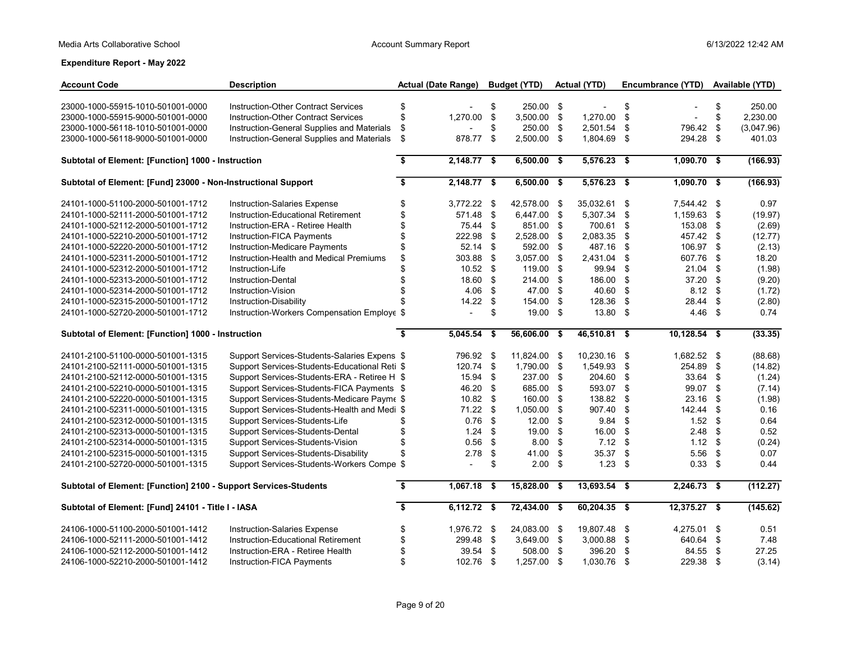| <b>Account Code</b>                                              | <b>Description</b>                            | <b>Actual (Date Range)</b>           |               |                           | <b>Budget (YTD)</b> |      | <b>Actual (YTD)</b> |      | Encumbrance (YTD)        |      | Available (YTD) |
|------------------------------------------------------------------|-----------------------------------------------|--------------------------------------|---------------|---------------------------|---------------------|------|---------------------|------|--------------------------|------|-----------------|
|                                                                  |                                               |                                      |               |                           |                     |      |                     |      |                          |      |                 |
| 23000-1000-55915-1010-501001-0000                                | Instruction-Other Contract Services           | \$                                   |               | \$                        | 250.00 \$           |      | $\blacksquare$      | \$   |                          | \$   | 250.00          |
| 23000-1000-55915-9000-501001-0000                                | <b>Instruction-Other Contract Services</b>    | \$                                   | 1,270.00      | $\boldsymbol{\mathsf{S}}$ | $3,500.00$ \$       |      | 1,270.00            | \$   | $\overline{\phantom{a}}$ | \$   | 2,230.00        |
| 23000-1000-56118-1010-501001-0000                                | Instruction-General Supplies and Materials    | \$                                   |               | \$                        | 250.00 \$           |      | 2,501.54            | \$   | 796.42                   | \$   | (3,047.96)      |
| 23000-1000-56118-9000-501001-0000                                | Instruction-General Supplies and Materials    | \$                                   | 878.77        | \$                        | 2,500.00 \$         |      | 1,804.69 \$         |      | 294.28 \$                |      | 401.03          |
| Subtotal of Element: [Function] 1000 - Instruction               |                                               | $\overline{\boldsymbol{\mathsf{s}}}$ | $2,148.77$ \$ |                           | $6,500.00$ \$       |      | $5,576.23$ \$       |      | $1,090.70$ \$            |      | (166.93)        |
| Subtotal of Element: [Fund] 23000 - Non-Instructional Support    |                                               | $\overline{\mathbf{s}}$              | $2,148.77$ \$ |                           | $6,500.00$ \$       |      | $5,576.23$ \$       |      | $1,090.70$ \$            |      | (166.93)        |
| 24101-1000-51100-2000-501001-1712                                | Instruction-Salaries Expense                  | \$                                   | 3,772.22 \$   |                           | 42,578.00           | - \$ | 35,032.61           | \$   | 7,544.42 \$              |      | 0.97            |
| 24101-1000-52111-2000-501001-1712                                | Instruction-Educational Retirement            | \$                                   | 571.48 \$     |                           | 6,447.00 \$         |      | 5,307.34            | \$   | 1,159.63 \$              |      | (19.97)         |
| 24101-1000-52112-2000-501001-1712                                | Instruction-ERA - Retiree Health              | \$                                   | 75.44 \$      |                           | 851.00 \$           |      | 700.61              | \$   | 153.08 \$                |      | (2.69)          |
| 24101-1000-52210-2000-501001-1712                                | Instruction-FICA Payments                     | \$                                   | 222.98        | \$                        | 2,528.00 \$         |      | 2,083.35            | \$   | 457.42 \$                |      | (12.77)         |
| 24101-1000-52220-2000-501001-1712                                | Instruction-Medicare Payments                 | \$                                   | $52.14$ \$    |                           | 592.00 \$           |      | 487.16              | \$   | 106.97 \$                |      | (2.13)          |
| 24101-1000-52311-2000-501001-1712                                | Instruction-Health and Medical Premiums       | \$                                   | 303.88        | $\sqrt{3}$                | 3,057.00 \$         |      | 2,431.04            | \$   | 607.76 \$                |      | 18.20           |
| 24101-1000-52312-2000-501001-1712                                | Instruction-Life                              |                                      | $10.52$ \$    |                           | 119.00 \$           |      | 99.94               | \$   | $21.04$ \$               |      | (1.98)          |
| 24101-1000-52313-2000-501001-1712                                | <b>Instruction-Dental</b>                     | \$                                   | 18.60 \$      |                           | 214.00 \$           |      | 186.00              | \$   | 37.20 \$                 |      | (9.20)          |
| 24101-1000-52314-2000-501001-1712                                | Instruction-Vision                            | \$                                   | 4.06          | \$                        | 47.00 \$            |      | 40.60               | \$   | $8.12$ \$                |      | (1.72)          |
| 24101-1000-52315-2000-501001-1712                                | Instruction-Disability                        |                                      | $14.22$ \$    |                           | 154.00 \$           |      | 128.36              | \$   | 28.44                    | -\$  | (2.80)          |
| 24101-1000-52720-2000-501001-1712                                | Instruction-Workers Compensation Employe \$   |                                      |               | \$                        | 19.00 \$            |      | 13.80 \$            |      | $4.46$ \$                |      | 0.74            |
| Subtotal of Element: [Function] 1000 - Instruction               |                                               | $\overline{\mathbf{s}}$              | 5,045.54 \$   |                           | 56,606.00 \$        |      | 46,510.81           | - \$ | $10,128.54$ \$           |      | (33.35)         |
| 24101-2100-51100-0000-501001-1315                                | Support Services-Students-Salaries Expens \$  |                                      | 796.92 \$     |                           | 11.824.00           | - \$ | 10.230.16 \$        |      | 1,682.52 \$              |      | (88.68)         |
| 24101-2100-52111-0000-501001-1315                                | Support Services-Students-Educational Reti \$ |                                      | 120.74 \$     |                           | 1,790.00 \$         |      | 1,549.93            | \$   | 254.89 \$                |      | (14.82)         |
| 24101-2100-52112-0000-501001-1315                                | Support Services-Students-ERA - Retiree H \$  |                                      | 15.94 \$      |                           | 237.00 \$           |      | 204.60              | \$   | 33.64 \$                 |      | (1.24)          |
| 24101-2100-52210-0000-501001-1315                                | Support Services-Students-FICA Payments \$    |                                      | 46.20         | \$                        | 685.00 \$           |      | 593.07              | \$   | 99.07                    | \$   | (7.14)          |
| 24101-2100-52220-0000-501001-1315                                | Support Services-Students-Medicare Payme \$   |                                      | $10.82$ \$    |                           | 160.00 \$           |      | 138.82              | \$   | 23.16                    | -\$  | (1.98)          |
| 24101-2100-52311-0000-501001-1315                                | Support Services-Students-Health and Medi \$  |                                      | $71.22$ \$    |                           | 1,050.00 \$         |      | 907.40              | \$   | 142.44 \$                |      | 0.16            |
| 24101-2100-52312-0000-501001-1315                                | Support Services-Students-Life                | \$                                   | 0.76          | - \$                      | 12.00               | - \$ | 9.84                | \$   | $1.52$ \$                |      | 0.64            |
| 24101-2100-52313-0000-501001-1315                                | Support Services-Students-Dental              | \$                                   | $1.24$ \$     |                           | $19.00$ \$          |      | 16.00               | \$   | 2.48                     | - \$ | 0.52            |
| 24101-2100-52314-0000-501001-1315                                | Support Services-Students-Vision              | \$                                   | 0.56          | $\mathfrak{s}$            | $8.00$ \$           |      | $7.12$ \$           |      | $1.12$ \$                |      | (0.24)          |
| 24101-2100-52315-0000-501001-1315                                | Support Services-Students-Disability          | $\mathfrak{L}$                       | 2.78          | \$                        | 41.00               | - \$ | 35.37               | \$   | $5.56$ \$                |      | 0.07            |
| 24101-2100-52720-0000-501001-1315                                | Support Services-Students-Workers Compe \$    |                                      | $\mathbf{r}$  | \$                        | $2.00$ \$           |      | $1.23$ \$           |      | $0.33$ \$                |      | 0.44            |
| Subtotal of Element: [Function] 2100 - Support Services-Students |                                               | $\overline{\boldsymbol{\mathsf{s}}}$ | 1.067.18      | - \$                      | 15.828.00           | - \$ | 13.693.54 \$        |      | $2,246.73$ \$            |      | (112.27)        |
| Subtotal of Element: [Fund] 24101 - Title I - IASA               |                                               | \$                                   | $6,112.72$ \$ |                           | $72,434.00$ \$      |      | $60,204.35$ \$      |      | $12,375.27$ \$           |      | (145.62)        |
| 24106-1000-51100-2000-501001-1412                                | Instruction-Salaries Expense                  | \$                                   | 1,976.72 \$   |                           | 24,083.00           | - \$ | 19,807.48 \$        |      | 4,275.01 \$              |      | 0.51            |
| 24106-1000-52111-2000-501001-1412                                | Instruction-Educational Retirement            | \$                                   | 299.48 \$     |                           | 3,649.00 \$         |      | 3,000.88 \$         |      | 640.64 \$                |      | 7.48            |
| 24106-1000-52112-2000-501001-1412                                | Instruction-ERA - Retiree Health              | \$                                   | $39.54$ \$    |                           | 508.00 \$           |      | 396.20              | \$   | 84.55 \$                 |      | 27.25           |
| 24106-1000-52210-2000-501001-1412                                | Instruction-FICA Payments                     | \$                                   | 102.76 \$     |                           | 1,257.00 \$         |      | 1,030.76 \$         |      | 229.38 \$                |      | (3.14)          |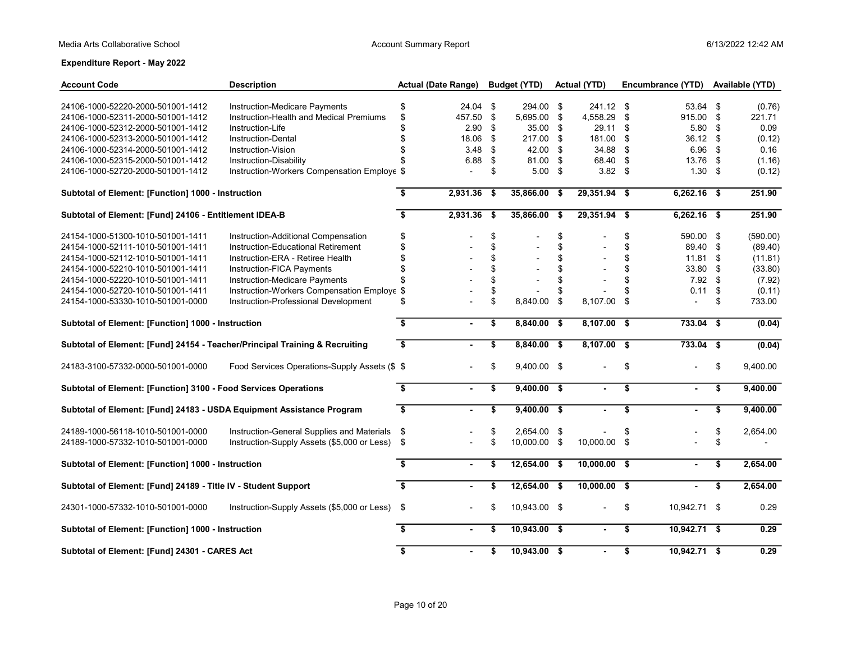| <b>Account Code</b>                                                         | <b>Description</b>                             |                         | <b>Actual (Date Range)</b> |      | <b>Budget (YTD)</b> | <b>Actual (YTD)</b> |            | Encumbrance (YTD) | Available (YTD) |
|-----------------------------------------------------------------------------|------------------------------------------------|-------------------------|----------------------------|------|---------------------|---------------------|------------|-------------------|-----------------|
| 24106-1000-52220-2000-501001-1412                                           | Instruction-Medicare Payments                  | \$                      | $24.04$ \$                 |      | 294.00 \$           | 241.12 \$           |            | 53.64 \$          | (0.76)          |
| 24106-1000-52311-2000-501001-1412                                           | Instruction-Health and Medical Premiums        | \$                      | 457.50                     | \$   | 5,695.00 \$         | 4,558.29 \$         |            | 915.00 \$         | 221.71          |
| 24106-1000-52312-2000-501001-1412                                           | Instruction-Life                               | \$                      | 2.90                       | S.   | 35.00 \$            | 29.11 \$            |            | 5.80              | \$<br>0.09      |
| 24106-1000-52313-2000-501001-1412                                           | Instruction-Dental                             | \$                      | 18.06                      | \$   | 217.00 \$           | 181.00 \$           |            | 36.12 \$          | (0.12)          |
| 24106-1000-52314-2000-501001-1412                                           | Instruction-Vision                             | \$                      | 3.48                       | \$   | 42.00 \$            | 34.88 \$            |            | 6.96 <sup>5</sup> | 0.16            |
| 24106-1000-52315-2000-501001-1412                                           | Instruction-Disability                         | \$                      | 6.88                       | \$   | 81.00 \$            | 68.40 \$            |            | 13.76 \$          | (1.16)          |
| 24106-1000-52720-2000-501001-1412                                           | Instruction-Workers Compensation Employe \$    |                         | $\overline{a}$             | \$   | $5.00$ \$           | $3.82$ \$           |            | $1.30$ \$         | (0.12)          |
| Subtotal of Element: [Function] 1000 - Instruction                          |                                                | Ŝ.                      | 2,931.36                   | - \$ | 35,866.00 \$        | $29,351.94$ \$      |            | $6,262.16$ \$     | 251.90          |
| Subtotal of Element: [Fund] 24106 - Entitlement IDEA-B                      |                                                | \$                      | $2,931.36$ \$              |      | $35,866.00$ \$      | $29,351.94$ \$      |            | $6,262.16$ \$     | 251.90          |
| 24154-1000-51300-1010-501001-1411                                           | Instruction-Additional Compensation            | \$                      |                            | \$   |                     | \$                  | \$         | 590.00 \$         | (590.00)        |
| 24154-1000-52111-1010-501001-1411                                           | Instruction-Educational Retirement             | \$                      |                            | \$   | $\overline{a}$      | \$                  | \$         | 89.40 \$          | (89.40)         |
| 24154-1000-52112-1010-501001-1411                                           | Instruction-ERA - Retiree Health               | \$                      |                            | \$   |                     | \$                  | \$         | $11.81$ \$        | (11.81)         |
| 24154-1000-52210-1010-501001-1411                                           | Instruction-FICA Payments                      | \$                      |                            | \$   |                     | \$                  | \$         | 33.80 \$          | (33.80)         |
| 24154-1000-52220-1010-501001-1411                                           | Instruction-Medicare Payments                  |                         |                            | \$   |                     | \$                  | \$         | $7.92$ \$         | (7.92)          |
| 24154-1000-52720-1010-501001-1411                                           | Instruction-Workers Compensation Employe \$    |                         |                            | \$   |                     | \$                  | \$         | 0.11 <sup>5</sup> | (0.11)          |
| 24154-1000-53330-1010-501001-0000                                           | Instruction-Professional Development           | \$                      |                            | \$   | 8,840.00 \$         | 8,107.00            | $^{\circ}$ |                   | \$<br>733.00    |
| Subtotal of Element: [Function] 1000 - Instruction                          |                                                | $\overline{\mathbf{s}}$ | $\mathbf{r}$               | \$   | $8,840.00$ \$       | $8,107.00$ \$       |            | $733.04$ \$       | (0.04)          |
| Subtotal of Element: [Fund] 24154 - Teacher/Principal Training & Recruiting |                                                | $\overline{\mathbf{s}}$ |                            | \$   | $8,840.00$ \$       | $8,107.00$ \$       |            | $733.04$ \$       | (0.04)          |
| 24183-3100-57332-0000-501001-0000                                           | Food Services Operations-Supply Assets (\$ \$  |                         |                            | \$   | 9,400.00 \$         |                     | \$         |                   | \$<br>9,400.00  |
| Subtotal of Element: [Function] 3100 - Food Services Operations             |                                                | \$                      | $\sim$                     | \$   | $9,400.00$ \$       | $\blacksquare$      | \$         | $\sim$            | \$<br>9,400.00  |
| Subtotal of Element: [Fund] 24183 - USDA Equipment Assistance Program       |                                                | \$                      |                            | \$   | $9,400.00$ \$       |                     | \$         |                   | \$<br>9,400.00  |
| 24189-1000-56118-1010-501001-0000                                           | Instruction-General Supplies and Materials     | -\$                     |                            | \$   | 2,654.00 \$         |                     | \$         |                   | \$<br>2,654.00  |
| 24189-1000-57332-1010-501001-0000                                           | Instruction-Supply Assets (\$5,000 or Less) \$ |                         |                            | \$   | 10,000.00 \$        | 10,000.00 \$        |            |                   | \$              |
| Subtotal of Element: [Function] 1000 - Instruction                          |                                                | \$                      | $\sim$                     | \$   | 12,654.00 \$        | $10,000.00$ \$      |            |                   | \$<br>2,654.00  |
| Subtotal of Element: [Fund] 24189 - Title IV - Student Support              |                                                | $\overline{\mathbf{3}}$ |                            | \$   | $12,654.00$ \$      | $10,000.00$ \$      |            |                   | \$<br>2,654.00  |
| 24301-1000-57332-1010-501001-0000                                           | Instruction-Supply Assets (\$5,000 or Less)    | - \$                    |                            | \$   | 10,943.00 \$        | $\overline{a}$      | \$         | 10,942.71 \$      | 0.29            |
| Subtotal of Element: [Function] 1000 - Instruction                          |                                                | \$                      |                            | \$   | $10,943.00$ \$      | $\blacksquare$      | \$         | $10,942.71$ \$    | 0.29            |
| Subtotal of Element: [Fund] 24301 - CARES Act                               |                                                | \$                      |                            | \$   | $10,943.00$ \$      |                     | \$         | 10,942.71 \$      | 0.29            |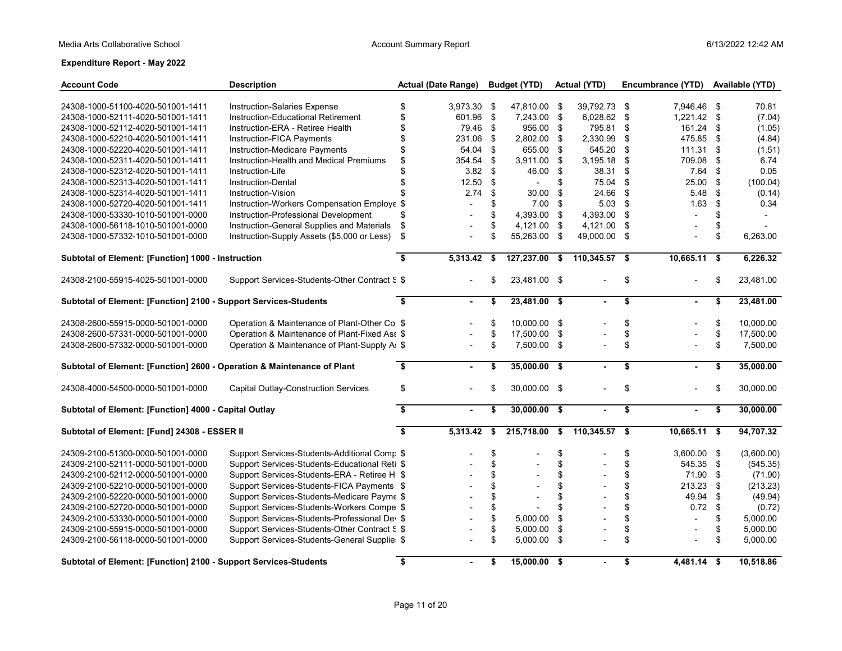| <b>Account Code</b>                                                     | <b>Description</b>                            |                         | <b>Actual (Date Range)</b> |      | <b>Budget (YTD)</b> | Actual (YTD)         | Encumbrance (YTD) Available (YTD) |      |            |
|-------------------------------------------------------------------------|-----------------------------------------------|-------------------------|----------------------------|------|---------------------|----------------------|-----------------------------------|------|------------|
| 24308-1000-51100-4020-501001-1411                                       | Instruction-Salaries Expense                  | \$                      | 3,973.30 \$                |      | 47,810.00 \$        | 39,792.73 \$         | 7,946.46 \$                       |      | 70.81      |
| 24308-1000-52111-4020-501001-1411                                       | Instruction-Educational Retirement            | \$                      | 601.96                     | \$   | 7,243.00 \$         | 6,028.62 \$          | $1,221.42$ \$                     |      | (7.04)     |
| 24308-1000-52112-4020-501001-1411                                       | Instruction-ERA - Retiree Health              | \$                      | 79.46                      | - \$ | 956.00 \$           | 795.81 \$            | 161.24 \$                         |      | (1.05)     |
| 24308-1000-52210-4020-501001-1411                                       | Instruction-FICA Payments                     | \$                      | 231.06                     | \$   | 2,802.00 \$         | 2,330.99 \$          | 475.85 \$                         |      | (4.84)     |
| 24308-1000-52220-4020-501001-1411                                       | Instruction-Medicare Payments                 | \$                      | 54.04                      | \$   | 655.00 \$           | 545.20               | \$<br>111.31                      | \$   | (1.51)     |
| 24308-1000-52311-4020-501001-1411                                       | Instruction-Health and Medical Premiums       | \$                      | 354.54                     | -\$  | 3,911.00 \$         | 3,195.18             | \$<br>709.08                      | \$   | 6.74       |
| 24308-1000-52312-4020-501001-1411                                       | Instruction-Life                              | \$                      | $3.82$ \$                  |      | 46.00 \$            | 38.31                | \$<br>7.64                        | \$   | 0.05       |
| 24308-1000-52313-4020-501001-1411                                       | Instruction-Dental                            | \$                      | 12.50                      | \$   | $\blacksquare$      | \$<br>75.04          | \$<br>25.00                       | \$   | (100.04)   |
| 24308-1000-52314-4020-501001-1411                                       | Instruction-Vision                            | $\mathfrak{L}$          | 2.74                       | \$   | 30.00               | \$<br>24.66          | \$<br>5.48                        | \$   | (0.14)     |
| 24308-1000-52720-4020-501001-1411                                       | Instruction-Workers Compensation Employe \$   |                         | $\overline{a}$             | \$   | $7.00$ \$           | $5.03$ \$            | 1.63                              | \$   | 0.34       |
| 24308-1000-53330-1010-501001-0000                                       | Instruction-Professional Development          | \$                      |                            | \$   | 4,393.00 \$         | 4,393.00             | \$                                | \$   |            |
| 24308-1000-56118-1010-501001-0000                                       | Instruction-General Supplies and Materials    | \$                      | $\overline{\phantom{a}}$   | \$   | 4,121.00 \$         | 4,121.00 \$          | $\overline{\phantom{a}}$          | \$   |            |
| 24308-1000-57332-1010-501001-0000                                       | Instruction-Supply Assets (\$5,000 or Less)   | \$                      | $\overline{a}$             | \$   | 55,263.00 \$        | 49,000.00 \$         | $\overline{a}$                    | \$   | 6,263.00   |
| Subtotal of Element: [Function] 1000 - Instruction                      |                                               | $\overline{\mathbf{s}}$ | $5,313.42$ \$              |      | $127,237.00$ \$     | 110,345.57 \$        | $10,665.11$ \$                    |      | 6,226.32   |
| 24308-2100-55915-4025-501001-0000                                       | Support Services-Students-Other Contract S \$ |                         |                            | \$   | 23,481.00 \$        |                      | \$                                | \$   | 23,481.00  |
| Subtotal of Element: [Function] 2100 - Support Services-Students        |                                               | \$                      | $\mathbf{r}$               | \$   | $23,481.00$ \$      |                      | \$                                | \$   | 23,481.00  |
| 24308-2600-55915-0000-501001-0000                                       | Operation & Maintenance of Plant-Other Co \$  |                         |                            | \$   | 10,000.00 \$        |                      | \$                                | \$   | 10,000.00  |
| 24308-2600-57331-0000-501001-0000                                       | Operation & Maintenance of Plant-Fixed Ass \$ |                         |                            | \$   | 17,500.00 \$        |                      | \$                                | \$   | 17,500.00  |
| 24308-2600-57332-0000-501001-0000                                       | Operation & Maintenance of Plant-Supply A: \$ |                         | $\blacksquare$             | \$   | 7,500.00 \$         | $\blacksquare$       | \$                                | \$   | 7,500.00   |
| Subtotal of Element: [Function] 2600 - Operation & Maintenance of Plant |                                               | \$                      |                            | \$   | $35,000.00$ \$      |                      | \$                                | \$   | 35,000.00  |
| 24308-4000-54500-0000-501001-0000                                       | <b>Capital Outlay-Construction Services</b>   | \$                      |                            | \$   | 30,000.00 \$        |                      | \$                                | \$   | 30,000.00  |
| Subtotal of Element: [Function] 4000 - Capital Outlay                   |                                               | \$                      | $\sim$                     | \$   | $30,000.00$ \$      | $\sim$               | \$<br>$\sim$                      | \$   | 30,000.00  |
| Subtotal of Element: [Fund] 24308 - ESSER II                            |                                               | $\overline{\mathbf{s}}$ | $5,313.42$ \$              |      | 215,718.00 \$       | $110,345.57$ \$      | $10,665.11$ \$                    |      | 94,707.32  |
| 24309-2100-51300-0000-501001-0000                                       | Support Services-Students-Additional Comp \$  |                         |                            | \$   |                     | \$                   | \$<br>$3,600.00$ \$               |      | (3,600.00) |
| 24309-2100-52111-0000-501001-0000                                       | Support Services-Students-Educational Reti \$ |                         |                            | \$   |                     | \$                   | \$<br>545.35 \$                   |      | (545.35)   |
| 24309-2100-52112-0000-501001-0000                                       | Support Services-Students-ERA - Retiree H \$  |                         |                            | \$   |                     | \$                   | \$<br>71.90 \$                    |      | (71.90)    |
| 24309-2100-52210-0000-501001-0000                                       | Support Services-Students-FICA Payments \$    |                         |                            | \$   |                     | \$                   | \$<br>213.23                      | - \$ | (213.23)   |
| 24309-2100-52220-0000-501001-0000                                       | Support Services-Students-Medicare Payme \$   |                         |                            | \$   | $\overline{a}$      | \$                   | \$<br>49.94 \$                    |      | (49.94)    |
| 24309-2100-52720-0000-501001-0000                                       | Support Services-Students-Workers Compe \$    |                         |                            | \$   |                     | \$                   | \$<br>$0.72$ \$                   |      | (0.72)     |
| 24309-2100-53330-0000-501001-0000                                       | Support Services-Students-Professional Dev \$ |                         |                            | \$   | 5,000.00            | \$<br>$\blacksquare$ | \$<br>$\overline{\phantom{a}}$    | \$   | 5,000.00   |
| 24309-2100-55915-0000-501001-0000                                       | Support Services-Students-Other Contract S \$ |                         |                            | \$   | 5,000.00            | \$                   | \$                                | \$   | 5,000.00   |
| 24309-2100-56118-0000-501001-0000                                       | Support Services-Students-General Supplie: \$ |                         | $\overline{\phantom{a}}$   | \$   | 5,000.00 \$         | $\blacksquare$       | \$                                | \$   | 5,000.00   |
| Subtotal of Element: [Function] 2100 - Support Services-Students        |                                               | \$                      |                            | \$   | 15,000.00 \$        |                      | \$<br>$4,481.14$ \$               |      | 10,518.86  |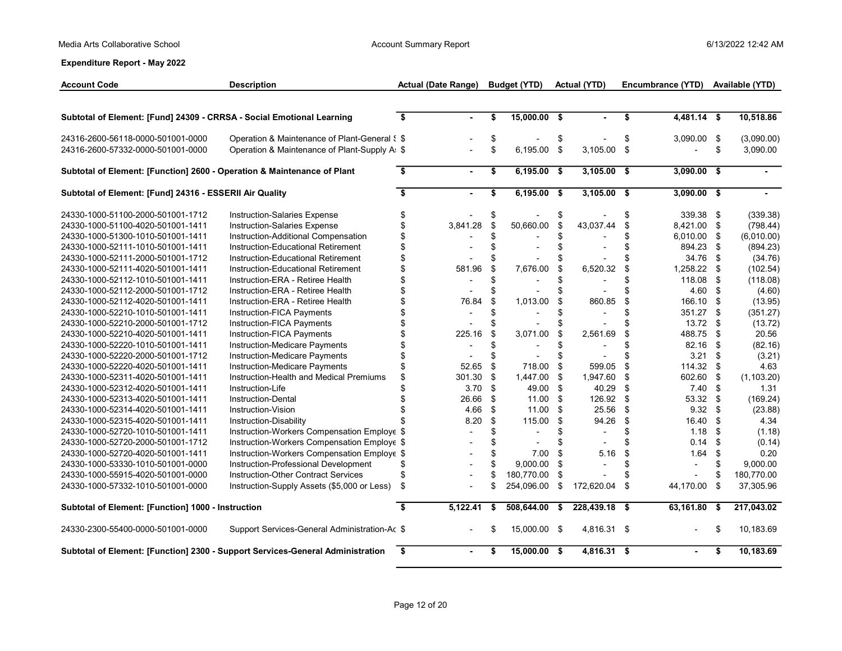| <b>Account Code</b>                                                     | <b>Description</b>                                                             |                         | <b>Actual (Date Range)</b> | <b>Budget (YTD)</b>  |     | <b>Actual (YTD)</b>      |     | Encumbrance (YTD) | Available (YTD)   |
|-------------------------------------------------------------------------|--------------------------------------------------------------------------------|-------------------------|----------------------------|----------------------|-----|--------------------------|-----|-------------------|-------------------|
|                                                                         |                                                                                |                         |                            |                      |     |                          |     |                   |                   |
| Subtotal of Element: [Fund] 24309 - CRRSA - Social Emotional Learning   |                                                                                | \$                      | $\blacksquare$             | \$<br>$15,000.00$ \$ |     | $\blacksquare$           | \$  | 4,481.14 \$       | 10,518.86         |
| 24316-2600-56118-0000-501001-0000                                       | Operation & Maintenance of Plant-General § \$                                  |                         |                            | \$                   | \$  |                          | \$  | 3,090.00 \$       | (3,090.00)        |
| 24316-2600-57332-0000-501001-0000                                       | Operation & Maintenance of Plant-Supply A: \$                                  |                         |                            | \$<br>6,195.00 \$    |     | $3,105.00$ \$            |     |                   | \$<br>3,090.00    |
| Subtotal of Element: [Function] 2600 - Operation & Maintenance of Plant |                                                                                | \$                      | $\sim$                     | \$<br>$6,195.00$ \$  |     | $3,105.00$ \$            |     | $3,090.00$ \$     |                   |
| Subtotal of Element: [Fund] 24316 - ESSERII Air Quality                 |                                                                                | $\overline{\bullet}$    | $\sim$                     | \$<br>6,195.00 \$    |     | $3,105.00$ \$            |     | $3,090.00$ \$     |                   |
| 24330-1000-51100-2000-501001-1712                                       | <b>Instruction-Salaries Expense</b>                                            | \$                      |                            | \$                   |     |                          | \$  | 339.38            | \$<br>(339.38)    |
| 24330-1000-51100-4020-501001-1411                                       | Instruction-Salaries Expense                                                   | \$                      | 3,841.28                   | \$<br>50,660.00      | \$. | 43,037.44                | \$  | 8,421.00          | \$<br>(798.44)    |
| 24330-1000-51300-1010-501001-1411                                       | Instruction-Additional Compensation                                            | \$                      |                            | \$                   |     |                          | \$  | 6,010.00          | \$<br>(6,010.00)  |
| 24330-1000-52111-1010-501001-1411                                       | Instruction-Educational Retirement                                             | \$                      |                            | \$                   |     |                          | \$  | 894.23            | \$<br>(894.23)    |
| 24330-1000-52111-2000-501001-1712                                       | Instruction-Educational Retirement                                             | \$                      |                            | \$                   |     |                          |     | 34.76             | \$<br>(34.76)     |
| 24330-1000-52111-4020-501001-1411                                       | Instruction-Educational Retirement                                             | \$                      | 581.96                     | \$<br>7,676.00       | \$  | 6,520.32                 | \$  | 1,258.22          | \$<br>(102.54)    |
| 24330-1000-52112-1010-501001-1411                                       | Instruction-ERA - Retiree Health                                               | \$                      |                            | \$                   | \$  |                          | \$  | 118.08            | \$<br>(118.08)    |
| 24330-1000-52112-2000-501001-1712                                       | Instruction-ERA - Retiree Health                                               | \$                      |                            | \$                   | \$  |                          | \$  | 4.60              | \$<br>(4.60)      |
| 24330-1000-52112-4020-501001-1411                                       | Instruction-ERA - Retiree Health                                               | \$                      | 76.84                      | \$<br>1,013.00       | \$  | 860.85                   | \$  | 166.10            | \$<br>(13.95)     |
| 24330-1000-52210-1010-501001-1411                                       | Instruction-FICA Payments                                                      | \$                      |                            | \$                   |     |                          | \$  | 351.27            | \$<br>(351.27)    |
| 24330-1000-52210-2000-501001-1712                                       | Instruction-FICA Payments                                                      | \$                      |                            | \$                   |     |                          |     | 13.72             | \$<br>(13.72)     |
| 24330-1000-52210-4020-501001-1411                                       | Instruction-FICA Payments                                                      | \$                      | 225.16                     | \$<br>3,071.00       | \$  | 2,561.69                 | \$  | 488.75            | \$<br>20.56       |
| 24330-1000-52220-1010-501001-1411                                       | Instruction-Medicare Payments                                                  | \$                      |                            | \$                   | \$  | $\overline{a}$           | \$  | 82.16             | \$<br>(82.16)     |
| 24330-1000-52220-2000-501001-1712                                       | Instruction-Medicare Payments                                                  | \$                      |                            | \$                   |     |                          | \$  | 3.21              | \$<br>(3.21)      |
| 24330-1000-52220-4020-501001-1411                                       | Instruction-Medicare Payments                                                  | \$                      | 52.65                      | \$<br>718.00         | \$  | 599.05                   | \$  | 114.32            | \$<br>4.63        |
| 24330-1000-52311-4020-501001-1411                                       | Instruction-Health and Medical Premiums                                        | \$                      | 301.30                     | \$<br>1,447.00 \$    |     | 1,947.60                 | \$  | 602.60            | \$<br>(1, 103.20) |
| 24330-1000-52312-4020-501001-1411                                       | Instruction-Life                                                               |                         | 3.70                       | \$<br>49.00 \$       |     | 40.29                    | \$  | 7.40              | \$<br>1.31        |
| 24330-1000-52313-4020-501001-1411                                       | <b>Instruction-Dental</b>                                                      | \$                      | 26.66                      | \$<br>11.00 \$       |     | 126.92                   | \$  | 53.32             | \$<br>(169.24)    |
| 24330-1000-52314-4020-501001-1411                                       | Instruction-Vision                                                             | \$                      | 4.66                       | \$<br>$11.00$ \$     |     | 25.56                    | \$  | 9.32              | \$<br>(23.88)     |
| 24330-1000-52315-4020-501001-1411                                       | Instruction-Disability                                                         |                         | 8.20                       | \$<br>115.00         | \$  | 94.26                    | \$  | 16.40             | \$<br>4.34        |
| 24330-1000-52720-1010-501001-1411                                       | Instruction-Workers Compensation Employe \$                                    |                         |                            | \$                   | \$  | $\overline{\phantom{a}}$ | \$  | 1.18              | \$<br>(1.18)      |
| 24330-1000-52720-2000-501001-1712                                       | Instruction-Workers Compensation Employe \$                                    |                         |                            | \$                   | \$  |                          | \$  | 0.14              | \$<br>(0.14)      |
| 24330-1000-52720-4020-501001-1411                                       | Instruction-Workers Compensation Employe \$                                    |                         |                            | \$<br>7.00           | \$  | 5.16                     | \$  | 1.64              | \$<br>0.20        |
| 24330-1000-53330-1010-501001-0000                                       | Instruction-Professional Development                                           | \$                      |                            | \$<br>9,000.00       | \$  | $\blacksquare$           | \$  |                   | \$<br>9,000.00    |
| 24330-1000-55915-4020-501001-0000                                       | <b>Instruction-Other Contract Services</b>                                     | \$                      | $\overline{a}$             | \$<br>180,770.00     | \$  |                          | \$  |                   | \$<br>180,770.00  |
| 24330-1000-57332-1010-501001-0000                                       | Instruction-Supply Assets (\$5,000 or Less)                                    | \$                      |                            | \$<br>254,096.00     | \$  | 172,620.04               | -\$ | 44,170.00         | \$<br>37,305.96   |
| Subtotal of Element: [Function] 1000 - Instruction                      |                                                                                | $\overline{\mathbf{3}}$ | $5,122.41$ \$              | $508,644.00$ \$      |     | 228,439.18 \$            |     | $63,161.80$ \$    | 217,043.02        |
| 24330-2300-55400-0000-501001-0000                                       | Support Services-General Administration-Ac \$                                  |                         |                            | \$<br>15,000.00 \$   |     | 4,816.31 \$              |     |                   | \$<br>10,183.69   |
|                                                                         | Subtotal of Element: [Function] 2300 - Support Services-General Administration | $\overline{\mathbf{s}}$ |                            | \$<br>15,000.00 \$   |     | $4,816.31$ \$            |     |                   | \$<br>10,183.69   |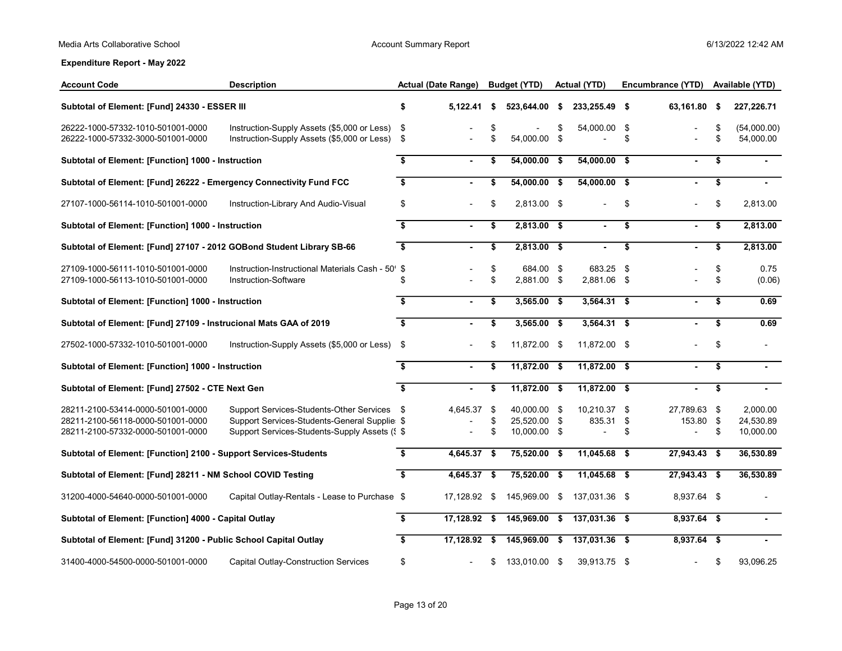| <b>Account Code</b>                                                                                         | <b>Description</b>                                                                                                                            | <b>Actual (Date Range)</b> |                |          | <b>Budget (YTD)</b>                          | <b>Actual (YTD)</b>                         | Encumbrance (YTD)            |                         | Available (YTD)                    |
|-------------------------------------------------------------------------------------------------------------|-----------------------------------------------------------------------------------------------------------------------------------------------|----------------------------|----------------|----------|----------------------------------------------|---------------------------------------------|------------------------------|-------------------------|------------------------------------|
| Subtotal of Element: [Fund] 24330 - ESSER III                                                               |                                                                                                                                               | \$                         | $5,122.41$ \$  |          | 523,644.00 \$                                | 233,255.49 \$                               | 63,161.80                    | \$                      | 227,226.71                         |
| 26222-1000-57332-1010-501001-0000<br>26222-1000-57332-3000-501001-0000                                      | Instruction-Supply Assets (\$5,000 or Less)<br>Instruction-Supply Assets (\$5,000 or Less) \$                                                 | \$                         |                | \$<br>\$ | 54,000.00 \$                                 | 54,000.00 \$                                | \$                           | \$<br>\$                | (54,000.00)<br>54,000.00           |
| Subtotal of Element: [Function] 1000 - Instruction                                                          |                                                                                                                                               | \$                         | $\blacksquare$ | \$       | 54,000.00 \$                                 | $54,000.00$ \$                              |                              | \$                      |                                    |
| Subtotal of Element: [Fund] 26222 - Emergency Connectivity Fund FCC                                         |                                                                                                                                               | \$                         |                | \$       | $54,000.00$ \$                               | $54,000.00$ \$                              |                              | \$                      |                                    |
| 27107-1000-56114-1010-501001-0000                                                                           | Instruction-Library And Audio-Visual                                                                                                          | \$                         |                | \$       | 2,813.00 \$                                  |                                             | \$                           | \$                      | 2,813.00                           |
| Subtotal of Element: [Function] 1000 - Instruction                                                          |                                                                                                                                               | $\overline{\mathbf{s}}$    | $\blacksquare$ | \$       | $2,813.00$ \$                                |                                             | \$                           | \$                      | 2,813.00                           |
| Subtotal of Element: [Fund] 27107 - 2012 GOBond Student Library SB-66                                       |                                                                                                                                               | $\overline{\mathbf{s}}$    |                | \$       | $2,813.00$ \$                                |                                             | \$                           | \$                      | 2,813.00                           |
| 27109-1000-56111-1010-501001-0000<br>27109-1000-56113-1010-501001-0000                                      | Instruction-Instructional Materials Cash - 50' \$<br>Instruction-Software                                                                     | \$                         |                | \$<br>\$ | 684.00 \$<br>2,881.00 \$                     | 683.25 \$<br>2,881.06 \$                    |                              | \$<br>\$                | 0.75<br>(0.06)                     |
| Subtotal of Element: [Function] 1000 - Instruction                                                          |                                                                                                                                               | \$                         | $\blacksquare$ | \$       | $3,565.00$ \$                                | $3,564.31$ \$                               |                              | \$                      | 0.69                               |
| Subtotal of Element: [Fund] 27109 - Instrucional Mats GAA of 2019                                           |                                                                                                                                               | $\overline{\mathbf{3}}$    | $\blacksquare$ | \$       | $3,565.00$ \$                                | $3,564.31$ \$                               |                              | $\overline{\mathbf{s}}$ | 0.69                               |
| 27502-1000-57332-1010-501001-0000                                                                           | Instruction-Supply Assets (\$5,000 or Less)                                                                                                   | - \$                       |                | \$       | 11,872.00 \$                                 | 11,872.00 \$                                |                              | \$                      | $\overline{\phantom{a}}$           |
| Subtotal of Element: [Function] 1000 - Instruction                                                          |                                                                                                                                               | \$                         |                | \$       | $11,872.00$ \$                               | $11,872.00$ \$                              |                              | \$                      |                                    |
| Subtotal of Element: [Fund] 27502 - CTE Next Gen                                                            |                                                                                                                                               | $\overline{\mathbf{s}}$    | $\blacksquare$ | \$       | $11,872.00$ \$                               | $11,872.00$ \$                              |                              | $\overline{\$}$         |                                    |
| 28211-2100-53414-0000-501001-0000<br>28211-2100-56118-0000-501001-0000<br>28211-2100-57332-0000-501001-0000 | Support Services-Students-Other Services \$<br>Support Services-Students-General Supplie: \$<br>Support Services-Students-Supply Assets (§ \$ |                            | 4,645.37 \$    | \$<br>\$ | 40,000.00 \$<br>25,520.00 \$<br>10,000.00 \$ | 10,210.37 \$<br>835.31 \$<br>$\overline{a}$ | \$<br>27,789.63<br>153.80 \$ | \$<br>\$                | 2,000.00<br>24,530.89<br>10,000.00 |
| Subtotal of Element: [Function] 2100 - Support Services-Students                                            |                                                                                                                                               | \$                         | 4,645.37 \$    |          | 75,520.00 \$                                 | 11,045.68 \$                                | 27,943.43 \$                 |                         | 36,530.89                          |
| Subtotal of Element: [Fund] 28211 - NM School COVID Testing                                                 |                                                                                                                                               | $\sqrt{2}$                 | 4,645.37 \$    |          | $75,520.00$ \$                               | $11,045.68$ \$                              | $27,943.43$ \$               |                         | 36,530.89                          |
| 31200-4000-54640-0000-501001-0000                                                                           | Capital Outlay-Rentals - Lease to Purchase \$                                                                                                 |                            | 17,128.92 \$   |          | 145,969.00 \$                                | 137,031.36 \$                               | 8,937.64 \$                  |                         |                                    |
| Subtotal of Element: [Function] 4000 - Capital Outlay                                                       |                                                                                                                                               | \$                         | $17,128.92$ \$ |          | 145,969.00 \$                                | 137,031.36 \$                               | $8,937.64$ \$                |                         |                                    |
| Subtotal of Element: [Fund] 31200 - Public School Capital Outlay                                            |                                                                                                                                               | \$                         |                |          | 17,128.92 \$ 145,969.00 \$                   | 137,031.36 \$                               | $8,937.64$ \$                |                         |                                    |
| 31400-4000-54500-0000-501001-0000                                                                           | Capital Outlay-Construction Services                                                                                                          | \$                         |                | \$       | 133,010.00 \$                                | 39,913.75 \$                                |                              | \$                      | 93.096.25                          |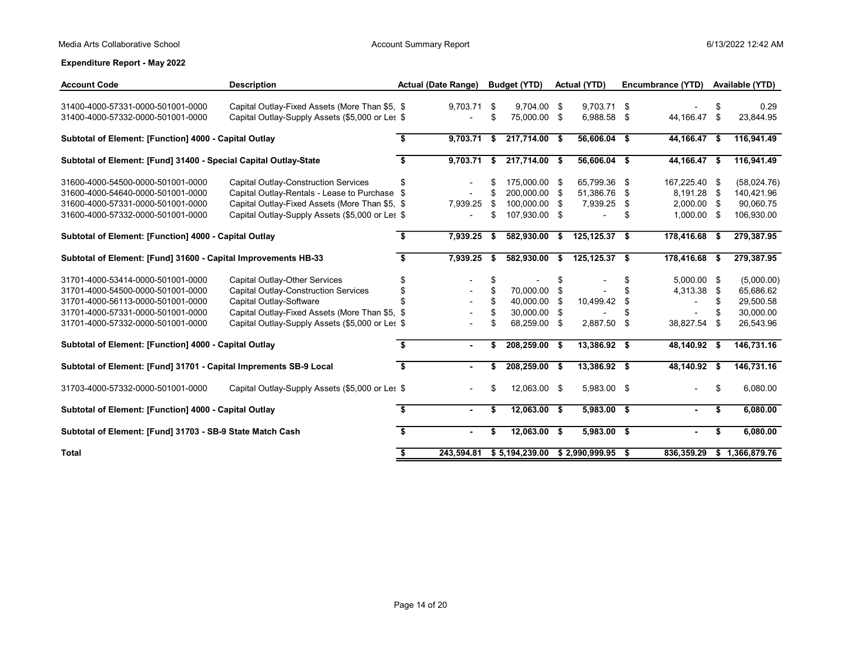| <b>Account Code</b>                                               | <b>Description</b>                              |     | <b>Actual (Date Range)</b> |      | <b>Budget (YTD)</b>       |      | <b>Actual (YTD)</b> |      | Encumbrance (YTD)        |      | Available (YTD) |
|-------------------------------------------------------------------|-------------------------------------------------|-----|----------------------------|------|---------------------------|------|---------------------|------|--------------------------|------|-----------------|
| 31400-4000-57331-0000-501001-0000                                 | Capital Outlay-Fixed Assets (More Than \$5, \$  |     | 9.703.71                   | -\$  | 9.704.00                  | -\$  | 9,703.71 \$         |      |                          |      | 0.29            |
| 31400-4000-57332-0000-501001-0000                                 | Capital Outlay-Supply Assets (\$5,000 or Les \$ |     |                            | \$   | 75,000.00 \$              |      | 6,988.58 \$         |      | 44,166.47                | \$   | 23,844.95       |
| Subtotal of Element: [Function] 4000 - Capital Outlay             |                                                 | \$  | 9,703.71                   | - \$ | $217,714.00$ \$           |      | 56,606.04 \$        |      | 44,166.47 \$             |      | 116,941.49      |
| Subtotal of Element: [Fund] 31400 - Special Capital Outlay-State  |                                                 | \$  | 9,703.71                   | - \$ | 217,714.00 \$             |      | 56,606.04 \$        |      | 44,166.47 \$             |      | 116,941.49      |
| 31600-4000-54500-0000-501001-0000                                 | Capital Outlay-Construction Services            | \$  | $\overline{\phantom{a}}$   | \$.  | 175.000.00                | - \$ | 65,799.36 \$        |      | 167,225.40 \$            |      | (58,024.76)     |
| 31600-4000-54640-0000-501001-0000                                 | Capital Outlay-Rentals - Lease to Purchase \$   |     |                            | \$   | 200,000.00                | -\$  | 51,386.76 \$        |      | 8,191.28                 | \$   | 140,421.96      |
| 31600-4000-57331-0000-501001-0000                                 | Capital Outlay-Fixed Assets (More Than \$5, \$  |     | 7,939.25                   | \$   | 100.000.00 \$             |      | 7,939.25            | - \$ | 2,000.00 \$              |      | 90,060.75       |
| 31600-4000-57332-0000-501001-0000                                 | Capital Outlay-Supply Assets (\$5,000 or Les \$ |     |                            | \$   | 107,930.00 \$             |      |                     | \$   | 1,000.00 \$              |      | 106,930.00      |
| Subtotal of Element: [Function] 4000 - Capital Outlay             |                                                 | s.  | 7,939.25                   | -\$  | 582,930.00                | \$   | 125, 125.37 \$      |      | 178,416.68               | - 56 | 279,387.95      |
| Subtotal of Element: [Fund] 31600 - Capital Improvements HB-33    |                                                 | Ŝ.  | 7,939.25                   | - \$ | 582,930.00                | \$   | 125, 125.37 \$      |      | 178,416.68               | S.   | 279,387.95      |
| 31701-4000-53414-0000-501001-0000                                 | Capital Outlay-Other Services                   | S   |                            | \$   |                           | \$   |                     | \$   | 5,000.00                 | - \$ | (5,000.00)      |
| 31701-4000-54500-0000-501001-0000                                 | Capital Outlay-Construction Services            | \$  |                            | \$   | 70,000.00                 | \$   |                     |      | 4,313.38                 | \$   | 65,686.62       |
| 31701-4000-56113-0000-501001-0000                                 | Capital Outlay-Software                         |     |                            | \$   | 40,000.00                 | \$   | 10,499.42           | \$   | $\overline{\phantom{a}}$ | \$   | 29,500.58       |
| 31701-4000-57331-0000-501001-0000                                 | Capital Outlay-Fixed Assets (More Than \$5, \$  |     |                            | \$   | 30,000.00                 | \$   |                     |      |                          | \$.  | 30,000.00       |
| 31701-4000-57332-0000-501001-0000                                 | Capital Outlay-Supply Assets (\$5,000 or Les \$ |     |                            | \$   | 68,259.00                 | \$   | 2,887.50            | -\$  | 38,827.54                | - \$ | 26,543.96       |
| Subtotal of Element: [Function] 4000 - Capital Outlay             |                                                 | \$  |                            | \$   | 208,259.00 \$             |      | 13,386.92 \$        |      | 48,140.92 \$             |      | 146,731.16      |
| Subtotal of Element: [Fund] 31701 - Capital Imprements SB-9 Local |                                                 | \$  |                            | \$   | 208,259.00 \$             |      | 13,386.92 \$        |      | 48,140.92 \$             |      | 146,731.16      |
| 31703-4000-57332-0000-501001-0000                                 | Capital Outlay-Supply Assets (\$5,000 or Les \$ |     |                            | \$   | 12,063.00 \$              |      | 5,983.00 \$         |      |                          | \$   | 6,080.00        |
| Subtotal of Element: [Function] 4000 - Capital Outlay             |                                                 | Ŝ.  |                            | \$   | 12,063.00 \$              |      | 5,983.00 \$         |      |                          | \$   | 6,080.00        |
| Subtotal of Element: [Fund] 31703 - SB-9 State Match Cash         |                                                 | \$  |                            | \$   | 12,063.00 \$              |      | 5,983.00 \$         |      |                          | \$   | 6,080.00        |
| Total                                                             |                                                 | \$. |                            |      | 243.594.81 \$5.194.239.00 |      | $$2.990.999.95$ \$  |      | 836.359.29               |      | \$1.366.879.76  |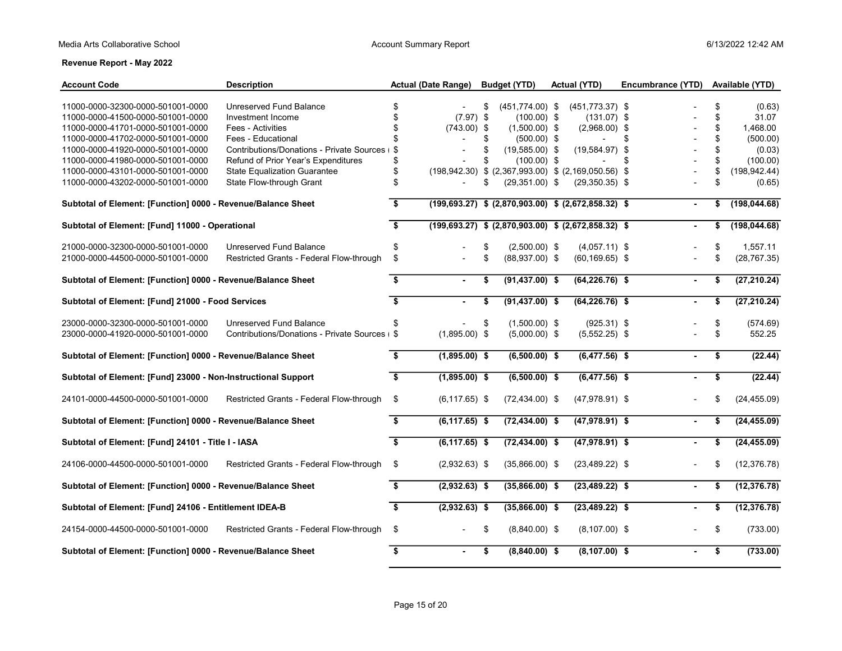| <b>Account Code</b>                                                    | <b>Description</b>                             |                         | <b>Actual (Date Range)</b> | <b>Budget (YTD)</b>                                            | <b>Actual (YTD)</b>                 | Encumbrance (YTD) |          | Available (YTD) |
|------------------------------------------------------------------------|------------------------------------------------|-------------------------|----------------------------|----------------------------------------------------------------|-------------------------------------|-------------------|----------|-----------------|
|                                                                        |                                                |                         |                            |                                                                |                                     |                   |          |                 |
| 11000-0000-32300-0000-501001-0000<br>11000-0000-41500-0000-501001-0000 | Unreserved Fund Balance<br>Investment Income   | \$<br>\$                | $(7.97)$ \$                | \$<br>$(451,774.00)$ \$<br>$(100.00)$ \$                       | $(451, 773.37)$ \$<br>$(131.07)$ \$ |                   | \$<br>\$ | (0.63)<br>31.07 |
| 11000-0000-41701-0000-501001-0000                                      | Fees - Activities                              | \$                      | $(743.00)$ \$              | $(1,500.00)$ \$                                                | $(2,968.00)$ \$                     |                   | \$       | 1,468.00        |
| 11000-0000-41702-0000-501001-0000                                      | Fees - Educational                             | \$                      |                            | \$<br>$(500.00)$ \$                                            | $\overline{a}$                      | \$                | \$       | (500.00)        |
| 11000-0000-41920-0000-501001-0000                                      | Contributions/Donations - Private Sources      | \$                      |                            | \$<br>$(19,585.00)$ \$                                         | $(19,584.97)$ \$                    |                   | \$       | (0.03)          |
| 11000-0000-41980-0000-501001-0000                                      | Refund of Prior Year's Expenditures            | \$                      |                            | \$<br>$(100.00)$ \$                                            | $\overline{\phantom{a}}$            | \$                |          | (100.00)        |
| 11000-0000-43101-0000-501001-0000                                      | <b>State Equalization Guarantee</b>            | \$                      |                            | $(198,942.30)$ \$ $(2,367,993.00)$ \$ $(2,169,050.56)$ \$      |                                     |                   | \$       | (198, 942.44)   |
| 11000-0000-43202-0000-501001-0000                                      | State Flow-through Grant                       | \$                      |                            | \$<br>$(29,351.00)$ \$                                         | $(29,350.35)$ \$                    |                   | \$       | (0.65)          |
| Subtotal of Element: [Function] 0000 - Revenue/Balance Sheet           |                                                | \$                      |                            | $(199, 693.27)$ \$ $(2, 870, 903.00)$ \$ $(2, 672, 858.32)$ \$ |                                     | $\blacksquare$    | \$       | (198, 044.68)   |
| Subtotal of Element: [Fund] 11000 - Operational                        |                                                | $\overline{\mathbf{s}}$ |                            | $(199, 693.27)$ \$ $(2, 870, 903.00)$ \$ $(2, 672, 858.32)$ \$ |                                     |                   | \$       | (198, 044.68)   |
| 21000-0000-32300-0000-501001-0000                                      | Unreserved Fund Balance                        | \$                      |                            | \$<br>$(2,500.00)$ \$                                          | $(4,057.11)$ \$                     |                   | \$       | 1,557.11        |
| 21000-0000-44500-0000-501001-0000                                      | Restricted Grants - Federal Flow-through       | \$                      |                            | \$<br>$(88,937.00)$ \$                                         | $(60, 169.65)$ \$                   |                   | \$       | (28, 767.35)    |
| Subtotal of Element: [Function] 0000 - Revenue/Balance Sheet           |                                                | \$                      | $\sim$                     | \$<br>$(91,437.00)$ \$                                         | $(64, 226.76)$ \$                   | $\blacksquare$    | \$       | (27, 210.24)    |
| Subtotal of Element: [Fund] 21000 - Food Services                      |                                                | $\overline{\mathbf{s}}$ |                            | \$<br>$(91, 437.00)$ \$                                        | $(64, 226.76)$ \$                   |                   | \$       | (27, 210.24)    |
| 23000-0000-32300-0000-501001-0000                                      | Unreserved Fund Balance                        | \$                      |                            | \$<br>$(1,500.00)$ \$                                          | $(925.31)$ \$                       |                   | \$       | (574.69)        |
| 23000-0000-41920-0000-501001-0000                                      | Contributions/Donations - Private Sources + \$ |                         | $(1,895.00)$ \$            | $(5,000.00)$ \$                                                | $(5,552.25)$ \$                     |                   | \$       | 552.25          |
| Subtotal of Element: [Function] 0000 - Revenue/Balance Sheet           |                                                | \$                      | $(1,895.00)$ \$            | $(6,500.00)$ \$                                                | $(6,477.56)$ \$                     |                   | \$       | (22.44)         |
| Subtotal of Element: [Fund] 23000 - Non-Instructional Support          |                                                | $\overline{\mathbf{s}}$ | $(1,895.00)$ \$            | $(6,500.00)$ \$                                                | $(6,477.56)$ \$                     |                   | \$       | (22.44)         |
| 24101-0000-44500-0000-501001-0000                                      | Restricted Grants - Federal Flow-through       | \$                      | $(6, 117.65)$ \$           | $(72, 434.00)$ \$                                              | $(47,978.91)$ \$                    |                   | \$       | (24, 455.09)    |
| Subtotal of Element: [Function] 0000 - Revenue/Balance Sheet           |                                                | $\sqrt{2}$              | $(6, 117.65)$ \$           | $(72, 434.00)$ \$                                              | $(47,978.91)$ \$                    | $\blacksquare$    | \$       | (24, 455.09)    |
| Subtotal of Element: [Fund] 24101 - Title I - IASA                     |                                                | $\overline{\mathbf{s}}$ | $(6,117.65)$ \$            | $(72, 434.00)$ \$                                              | $(47,978.91)$ \$                    |                   | \$       | (24, 455.09)    |
| 24106-0000-44500-0000-501001-0000                                      | Restricted Grants - Federal Flow-through       | \$                      | $(2,932.63)$ \$            | $(35,866.00)$ \$                                               | $(23,489.22)$ \$                    |                   | \$       | (12, 376.78)    |
| Subtotal of Element: [Function] 0000 - Revenue/Balance Sheet           |                                                | \$                      | $(2,932.63)$ \$            | $(35,866.00)$ \$                                               | $(23, 489.22)$ \$                   | $\blacksquare$    | \$       | (12, 376.78)    |
| Subtotal of Element: [Fund] 24106 - Entitlement IDEA-B                 |                                                | \$                      | $(2,932.63)$ \$            | $(35,866.00)$ \$                                               | $(23, 489.22)$ \$                   | $\blacksquare$    | \$       | (12, 376.78)    |
| 24154-0000-44500-0000-501001-0000                                      | Restricted Grants - Federal Flow-through       | \$                      |                            | \$<br>$(8,840.00)$ \$                                          | $(8, 107.00)$ \$                    |                   | \$       | (733.00)        |
| Subtotal of Element: [Function] 0000 - Revenue/Balance Sheet           |                                                | \$                      | $\blacksquare$             | \$<br>$(8,840.00)$ \$                                          | $(8, 107.00)$ \$                    |                   | \$       | (733.00)        |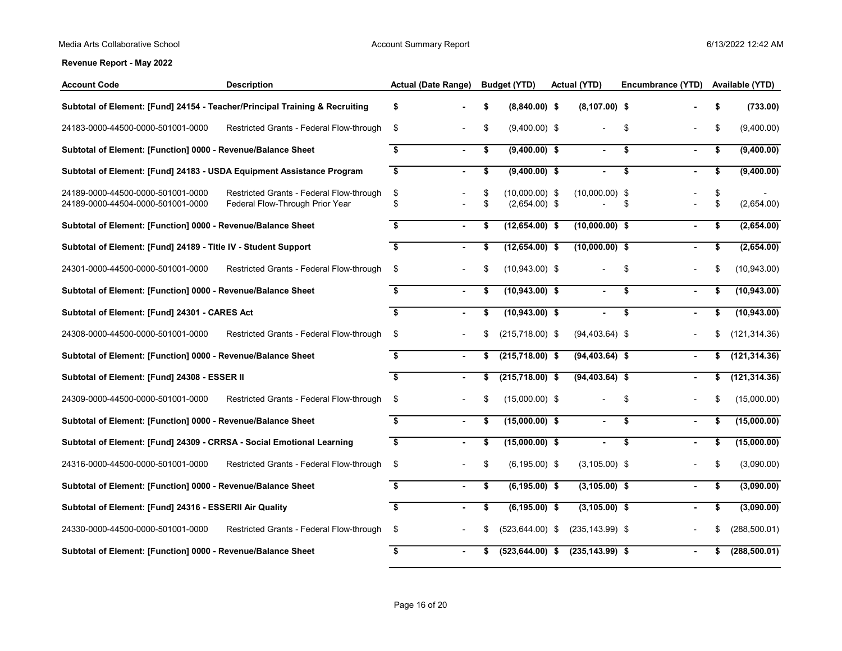| <b>Account Code</b>                                                         | <b>Description</b>                                                          | <b>Actual (Date Range)</b> |                |          | <b>Budget (YTD)</b>                 | <b>Actual (YTD)</b> | Encumbrance (YTD)    |          | Available (YTD) |  |
|-----------------------------------------------------------------------------|-----------------------------------------------------------------------------|----------------------------|----------------|----------|-------------------------------------|---------------------|----------------------|----------|-----------------|--|
| Subtotal of Element: [Fund] 24154 - Teacher/Principal Training & Recruiting |                                                                             | \$                         |                | \$       | $(8,840.00)$ \$                     | $(8, 107.00)$ \$    |                      | \$       | (733.00)        |  |
| 24183-0000-44500-0000-501001-0000                                           | Restricted Grants - Federal Flow-through                                    | \$                         |                | \$       | $(9,400.00)$ \$                     |                     | \$                   | \$       | (9,400.00)      |  |
| Subtotal of Element: [Function] 0000 - Revenue/Balance Sheet                |                                                                             | \$                         |                | \$       | $(9,400.00)$ \$                     |                     | \$                   | \$       | (9,400.00)      |  |
| Subtotal of Element: [Fund] 24183 - USDA Equipment Assistance Program       |                                                                             | \$                         | $\blacksquare$ | \$       | $(9,400.00)$ \$                     |                     | \$<br>$\blacksquare$ | \$       | (9,400.00)      |  |
| 24189-0000-44500-0000-501001-0000<br>24189-0000-44504-0000-501001-0000      | Restricted Grants - Federal Flow-through<br>Federal Flow-Through Prior Year | \$<br>\$                   |                | \$<br>\$ | $(10,000.00)$ \$<br>$(2,654.00)$ \$ | $(10,000.00)$ \$    | \$                   | \$<br>\$ | (2,654.00)      |  |
| Subtotal of Element: [Function] 0000 - Revenue/Balance Sheet                |                                                                             | \$                         |                | \$       | $(12,654.00)$ \$                    | $(10,000.00)$ \$    |                      | \$       | (2,654.00)      |  |
| Subtotal of Element: [Fund] 24189 - Title IV - Student Support              |                                                                             | \$                         | $\blacksquare$ | \$       | $(12,654.00)$ \$                    | $(10,000.00)$ \$    |                      | \$       | (2,654.00)      |  |
| 24301-0000-44500-0000-501001-0000                                           | Restricted Grants - Federal Flow-through                                    | \$                         |                | \$       | $(10,943.00)$ \$                    |                     | \$                   |          | (10, 943.00)    |  |
| Subtotal of Element: [Function] 0000 - Revenue/Balance Sheet                |                                                                             | \$                         | $\blacksquare$ | \$       | $(10,943.00)$ \$                    | $\blacksquare$      | \$<br>$\blacksquare$ | \$       | (10, 943.00)    |  |
| Subtotal of Element: [Fund] 24301 - CARES Act                               |                                                                             | \$                         |                | \$       | $(10,943.00)$ \$                    |                     | \$                   | S        | (10, 943.00)    |  |
| 24308-0000-44500-0000-501001-0000                                           | Restricted Grants - Federal Flow-through                                    | \$                         |                | \$       | $(215, 718.00)$ \$                  | $(94, 403.64)$ \$   |                      |          | (121, 314.36)   |  |
| Subtotal of Element: [Function] 0000 - Revenue/Balance Sheet                |                                                                             | \$                         |                | \$       | $(215,718.00)$ \$                   | $(94, 403.64)$ \$   |                      | \$       | (121, 314.36)   |  |
| Subtotal of Element: [Fund] 24308 - ESSER II                                |                                                                             | \$                         |                | \$       | $(215,718.00)$ \$                   | $(94, 403.64)$ \$   | $\blacksquare$       | \$       | (121, 314.36)   |  |
| 24309-0000-44500-0000-501001-0000                                           | Restricted Grants - Federal Flow-through                                    | \$                         |                | \$       | $(15,000.00)$ \$                    |                     | \$                   |          | (15,000.00)     |  |
| Subtotal of Element: [Function] 0000 - Revenue/Balance Sheet                |                                                                             | \$                         | ٠              | \$       | $(15,000.00)$ \$                    | $\sim$              | \$<br>$\blacksquare$ | \$       | (15,000.00)     |  |
| Subtotal of Element: [Fund] 24309 - CRRSA - Social Emotional Learning       |                                                                             | \$                         |                | \$       | $(15,000.00)$ \$                    |                     | \$                   | \$       | (15,000.00)     |  |
| 24316-0000-44500-0000-501001-0000                                           | Restricted Grants - Federal Flow-through                                    | \$                         |                | \$       | $(6, 195.00)$ \$                    | $(3,105.00)$ \$     |                      | \$       | (3,090.00)      |  |
| Subtotal of Element: [Function] 0000 - Revenue/Balance Sheet                |                                                                             | \$                         |                | \$       | $(6, 195.00)$ \$                    | $(3, 105.00)$ \$    | $\blacksquare$       | S        | (3,090.00)      |  |
| Subtotal of Element: [Fund] 24316 - ESSERII Air Quality                     |                                                                             | \$                         | $\blacksquare$ | \$       | $(6, 195.00)$ \$                    | $(3, 105.00)$ \$    | $\blacksquare$       | \$       | (3,090.00)      |  |
| 24330-0000-44500-0000-501001-0000                                           | Restricted Grants - Federal Flow-through                                    | \$                         |                |          | $(523, 644.00)$ \$                  | $(235, 143.99)$ \$  |                      |          | (288, 500.01)   |  |
| Subtotal of Element: [Function] 0000 - Revenue/Balance Sheet                |                                                                             | \$                         | ٠              | \$       | $(523, 644.00)$ \$                  | $(235, 143.99)$ \$  | $\blacksquare$       | S        | (288, 500.01)   |  |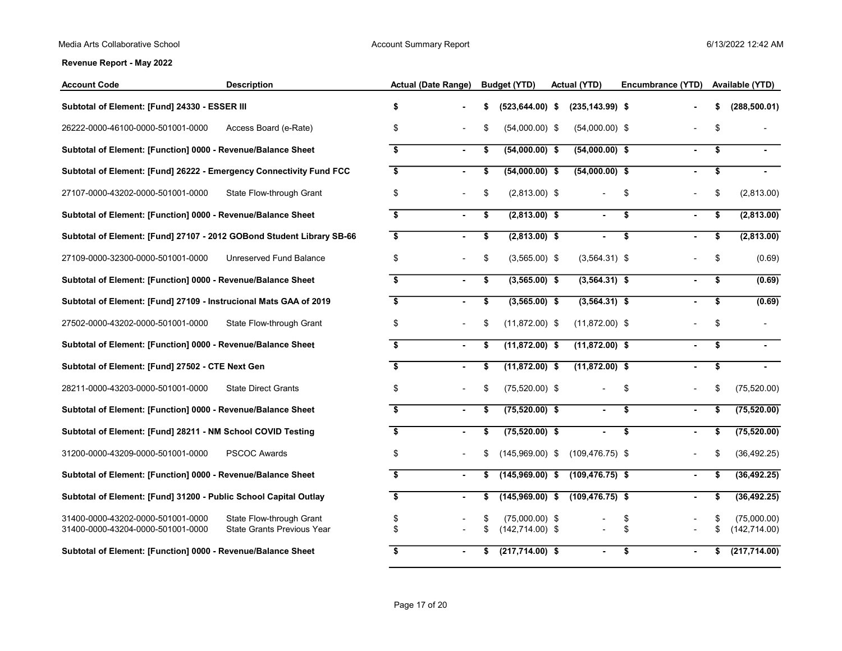| <b>Account Code</b>                                                    | <b>Description</b>                                     | <b>Actual (Date Range)</b> |                |    | <b>Budget (YTD)</b>                    | <b>Actual (YTD)</b> | Encumbrance (YTD)    |    | Available (YTD)              |
|------------------------------------------------------------------------|--------------------------------------------------------|----------------------------|----------------|----|----------------------------------------|---------------------|----------------------|----|------------------------------|
| Subtotal of Element: [Fund] 24330 - ESSER III                          |                                                        | \$                         |                |    | $(523, 644.00)$ \$                     | $(235, 143.99)$ \$  |                      |    | (288, 500.01)                |
| 26222-0000-46100-0000-501001-0000                                      | Access Board (e-Rate)                                  | \$                         |                |    | $(54,000.00)$ \$                       | $(54,000.00)$ \$    |                      | \$ |                              |
| Subtotal of Element: [Function] 0000 - Revenue/Balance Sheet           |                                                        | $\mathbf{s}$               |                | \$ | $(54,000.00)$ \$                       | $(54,000.00)$ \$    | $\blacksquare$       | \$ |                              |
| Subtotal of Element: [Fund] 26222 - Emergency Connectivity Fund FCC    |                                                        | \$                         |                | \$ | $(54,000.00)$ \$                       | $(54,000.00)$ \$    |                      | \$ |                              |
| 27107-0000-43202-0000-501001-0000                                      | State Flow-through Grant                               | \$                         |                | \$ | $(2,813.00)$ \$                        |                     | \$                   | \$ | (2,813.00)                   |
| Subtotal of Element: [Function] 0000 - Revenue/Balance Sheet           |                                                        | \$                         |                | \$ | $(2,813.00)$ \$                        |                     | \$<br>$\blacksquare$ | \$ | (2,813.00)                   |
| Subtotal of Element: [Fund] 27107 - 2012 GOBond Student Library SB-66  |                                                        | \$                         |                | \$ | $(2,813.00)$ \$                        |                     | \$<br>$\blacksquare$ | \$ | (2,813.00)                   |
| 27109-0000-32300-0000-501001-0000                                      | Unreserved Fund Balance                                | \$                         |                | \$ | $(3,565.00)$ \$                        | $(3,564.31)$ \$     |                      | \$ | (0.69)                       |
| Subtotal of Element: [Function] 0000 - Revenue/Balance Sheet           |                                                        | \$                         |                | \$ | $(3,565.00)$ \$                        | $(3,564.31)$ \$     | $\blacksquare$       | \$ | (0.69)                       |
| Subtotal of Element: [Fund] 27109 - Instrucional Mats GAA of 2019      |                                                        | \$                         |                | \$ | $(3,565.00)$ \$                        | $(3,564.31)$ \$     |                      | \$ | (0.69)                       |
| 27502-0000-43202-0000-501001-0000                                      | State Flow-through Grant                               | \$                         |                | \$ | $(11,872.00)$ \$                       | $(11,872.00)$ \$    |                      | \$ |                              |
| Subtotal of Element: [Function] 0000 - Revenue/Balance Sheet           |                                                        | \$                         |                | \$ | $(11,872.00)$ \$                       | $(11,872.00)$ \$    |                      | \$ |                              |
| Subtotal of Element: [Fund] 27502 - CTE Next Gen                       |                                                        | \$                         |                | \$ | $(11,872.00)$ \$                       | $(11,872.00)$ \$    | ٠                    | \$ |                              |
| 28211-0000-43203-0000-501001-0000                                      | <b>State Direct Grants</b>                             | \$                         |                | \$ | $(75,520.00)$ \$                       |                     | \$                   | \$ | (75, 520.00)                 |
| Subtotal of Element: [Function] 0000 - Revenue/Balance Sheet           |                                                        | \$                         |                | \$ | $(75,520.00)$ \$                       |                     | \$<br>$\blacksquare$ | \$ | (75, 520.00)                 |
| Subtotal of Element: [Fund] 28211 - NM School COVID Testing            |                                                        | \$                         |                | \$ | $(75,520.00)$ \$                       |                     | \$<br>$\blacksquare$ | \$ | (75, 520.00)                 |
| 31200-0000-43209-0000-501001-0000                                      | PSCOC Awards                                           | \$                         |                |    | $(145,969.00)$ \$                      | $(109, 476.75)$ \$  |                      | S  | (36, 492.25)                 |
| Subtotal of Element: [Function] 0000 - Revenue/Balance Sheet           |                                                        | \$                         | $\blacksquare$ | \$ | $(145,969.00)$ \$                      | $(109, 476.75)$ \$  | $\blacksquare$       | S  | (36, 492.25)                 |
| Subtotal of Element: [Fund] 31200 - Public School Capital Outlay       |                                                        | \$                         |                | S  | $(145,969.00)$ \$                      | $(109, 476.75)$ \$  | $\blacksquare$       | \$ | (36, 492.25)                 |
| 31400-0000-43202-0000-501001-0000<br>31400-0000-43204-0000-501001-0000 | State Flow-through Grant<br>State Grants Previous Year | \$<br>\$                   |                |    | $(75,000.00)$ \$<br>$(142, 714.00)$ \$ |                     | \$<br>\$             | \$ | (75,000.00)<br>(142, 714.00) |
| Subtotal of Element: [Function] 0000 - Revenue/Balance Sheet           |                                                        | \$                         |                | s  | $(217,714.00)$ \$                      |                     | \$                   | S  | (217, 714.00)                |
|                                                                        |                                                        |                            |                |    |                                        |                     |                      |    |                              |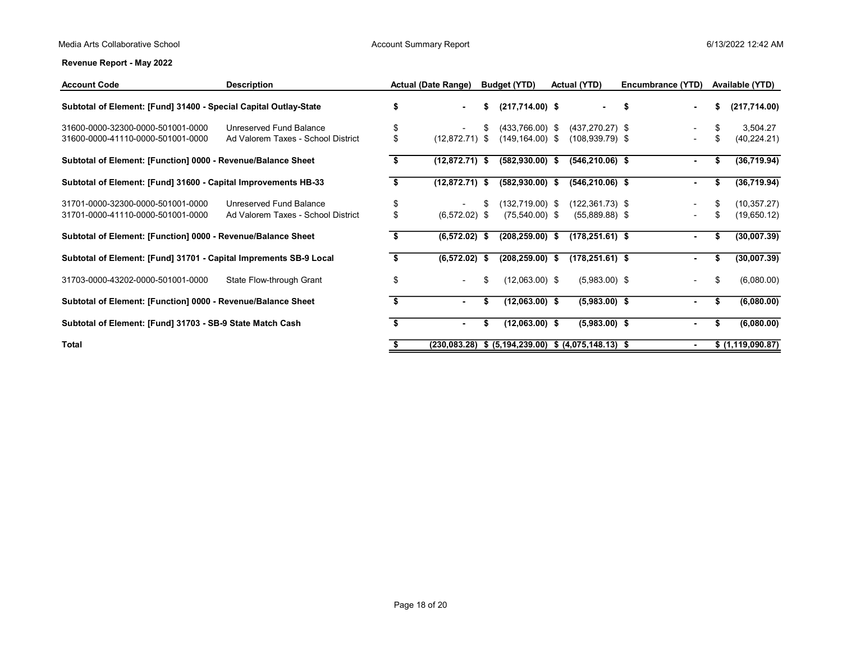| <b>Account Code</b>                                               | <b>Description</b>                 |    | <b>Actual (Date Range)</b> |      | <b>Budget (YTD)</b> | <b>Actual (YTD)</b>                    | Encumbrance (YTD) |    | Available (YTD)   |
|-------------------------------------------------------------------|------------------------------------|----|----------------------------|------|---------------------|----------------------------------------|-------------------|----|-------------------|
| Subtotal of Element: [Fund] 31400 - Special Capital Outlay-State  |                                    |    | н.                         | \$   | $(217,714.00)$ \$   | $\sim$                                 | - 5               | S  | (217,714.00)      |
| 31600-0000-32300-0000-501001-0000                                 | Unreserved Fund Balance            | \$ |                            |      | $(433,766.00)$ \$   | $(437, 270.27)$ \$                     |                   | S  | 3,504.27          |
| 31600-0000-41110-0000-501001-0000                                 | Ad Valorem Taxes - School District | \$ | $(12,872.71)$ \$           |      | $(149, 164.00)$ \$  | $(108, 939.79)$ \$                     |                   | \$ | (40, 224.21)      |
| Subtotal of Element: [Function] 0000 - Revenue/Balance Sheet      |                                    | S  | $(12,872.71)$ \$           |      | $(582, 930.00)$ \$  | $(546, 210.06)$ \$                     | $\sim$            | S  | (36,719.94)       |
| Subtotal of Element: [Fund] 31600 - Capital Improvements HB-33    |                                    | S  | $(12,872.71)$ \$           |      | $(582, 930.00)$ \$  | $(546, 210.06)$ \$                     | $\sim$            | S. | (36,719.94)       |
| 31701-0000-32300-0000-501001-0000                                 | Unreserved Fund Balance            | \$ |                            | S    | $(132, 719.00)$ \$  | $(122, 361.73)$ \$                     |                   | S  | (10, 357.27)      |
| 31701-0000-41110-0000-501001-0000                                 | Ad Valorem Taxes - School District | \$ | $(6,572.02)$ \$            |      | $(75,540.00)$ \$    | $(55,889.88)$ \$                       |                   | S  | (19,650.12)       |
| Subtotal of Element: [Function] 0000 - Revenue/Balance Sheet      |                                    |    | (6,572.02)                 | - \$ | $(208, 259.00)$ \$  | $(178, 251.61)$ \$                     |                   |    | (30,007.39)       |
| Subtotal of Element: [Fund] 31701 - Capital Imprements SB-9 Local |                                    |    | (6,572.02)                 | -S   | $(208, 259.00)$ \$  | $(178, 251.61)$ \$                     |                   |    | (30,007.39)       |
| 31703-0000-43202-0000-501001-0000                                 | State Flow-through Grant           | \$ |                            | \$   | (12,063.00) \$      | $(5,983.00)$ \$                        |                   | \$ | (6,080.00)        |
| Subtotal of Element: [Function] 0000 - Revenue/Balance Sheet      |                                    |    |                            |      | $(12,063.00)$ \$    | $(5,983.00)$ \$                        |                   |    | (6,080.00)        |
| Subtotal of Element: [Fund] 31703 - SB-9 State Match Cash         |                                    |    |                            | S    | $(12,063.00)$ \$    | $(5,983.00)$ \$                        |                   |    | (6,080.00)        |
| <b>Total</b>                                                      |                                    |    | (230, 083.28)              |      |                     | \$ (5,194,239.00) \$ (4,075,148.13) \$ |                   |    | \$ (1,119,090.87) |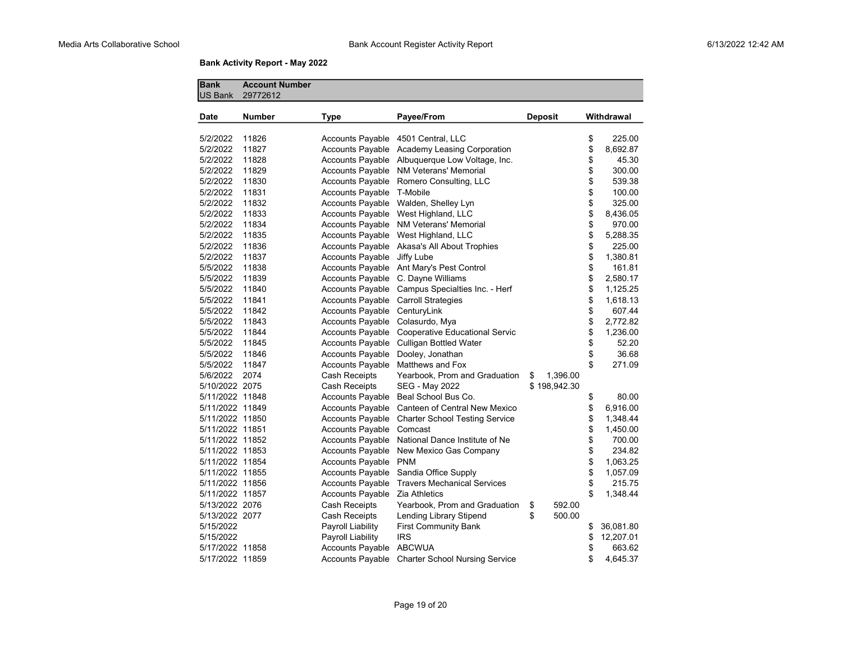# **Bank Activity Report - May 2022**

| <b>Bank</b><br><b>US Bank</b> | <b>Account Number</b><br>29772612 |                         |                                                |                |                 |
|-------------------------------|-----------------------------------|-------------------------|------------------------------------------------|----------------|-----------------|
| Date                          | Number                            | <b>Type</b>             | Payee/From                                     | <b>Deposit</b> | Withdrawal      |
| 5/2/2022                      | 11826                             | <b>Accounts Payable</b> | 4501 Central, LLC                              |                | \$<br>225.00    |
| 5/2/2022                      | 11827                             | <b>Accounts Payable</b> | Academy Leasing Corporation                    |                | \$<br>8,692.87  |
| 5/2/2022                      | 11828                             |                         | Accounts Payable Albuquerque Low Voltage, Inc. |                | \$<br>45.30     |
| 5/2/2022                      | 11829                             | <b>Accounts Payable</b> | <b>NM Veterans' Memorial</b>                   |                | \$<br>300.00    |
| 5/2/2022                      | 11830                             | <b>Accounts Payable</b> | Romero Consulting, LLC                         |                | \$<br>539.38    |
| 5/2/2022                      | 11831                             | <b>Accounts Payable</b> | T-Mobile                                       |                | \$<br>100.00    |
| 5/2/2022                      | 11832                             | Accounts Payable        | Walden, Shelley Lyn                            |                | \$<br>325.00    |
| 5/2/2022                      | 11833                             | <b>Accounts Payable</b> | West Highland, LLC                             |                | \$<br>8,436.05  |
| 5/2/2022                      | 11834                             | <b>Accounts Payable</b> | NM Veterans' Memorial                          |                | \$<br>970.00    |
| 5/2/2022                      | 11835                             | <b>Accounts Payable</b> | West Highland, LLC                             |                | \$<br>5,288.35  |
| 5/2/2022                      | 11836                             | <b>Accounts Payable</b> | Akasa's All About Trophies                     |                | \$<br>225.00    |
| 5/2/2022                      | 11837                             | Accounts Payable        | Jiffy Lube                                     |                | \$<br>1,380.81  |
| 5/5/2022                      | 11838                             | <b>Accounts Payable</b> | Ant Mary's Pest Control                        |                | \$<br>161.81    |
| 5/5/2022                      | 11839                             | <b>Accounts Payable</b> | C. Dayne Williams                              |                | \$<br>2,580.17  |
| 5/5/2022                      | 11840                             | <b>Accounts Payable</b> | Campus Specialties Inc. - Herf                 |                | \$<br>1,125.25  |
| 5/5/2022                      | 11841                             | <b>Accounts Payable</b> | <b>Carroll Strategies</b>                      |                | \$<br>1,618.13  |
| 5/5/2022                      | 11842                             | <b>Accounts Payable</b> | CenturyLink                                    |                | \$<br>607.44    |
| 5/5/2022                      | 11843                             | <b>Accounts Payable</b> | Colasurdo, Mya                                 |                | \$<br>2,772.82  |
| 5/5/2022                      | 11844                             | Accounts Payable        | Cooperative Educational Servic                 |                | \$<br>1,236.00  |
| 5/5/2022                      | 11845                             | <b>Accounts Payable</b> | <b>Culligan Bottled Water</b>                  |                | \$<br>52.20     |
| 5/5/2022                      | 11846                             | <b>Accounts Payable</b> | Dooley, Jonathan                               |                | \$<br>36.68     |
| 5/5/2022                      | 11847                             | <b>Accounts Payable</b> | Matthews and Fox                               |                | \$<br>271.09    |
| 5/6/2022                      | 2074                              | Cash Receipts           | Yearbook, Prom and Graduation                  | 1,396.00<br>\$ |                 |
| 5/10/2022 2075                |                                   | Cash Receipts           | SEG - May 2022                                 | \$198,942.30   |                 |
| 5/11/2022 11848               |                                   | <b>Accounts Payable</b> | Beal School Bus Co.                            |                | \$<br>80.00     |
| 5/11/2022 11849               |                                   | Accounts Payable        | Canteen of Central New Mexico                  |                | \$<br>6,916.00  |
| 5/11/2022 11850               |                                   | <b>Accounts Payable</b> | <b>Charter School Testing Service</b>          |                | \$<br>1,348.44  |
| 5/11/2022 11851               |                                   | <b>Accounts Payable</b> | Comcast                                        |                | \$<br>1,450.00  |
| 5/11/2022 11852               |                                   | <b>Accounts Payable</b> | National Dance Institute of Ne                 |                | \$<br>700.00    |
| 5/11/2022 11853               |                                   | <b>Accounts Payable</b> | New Mexico Gas Company                         |                | \$<br>234.82    |
| 5/11/2022 11854               |                                   | Accounts Payable        | <b>PNM</b>                                     |                | \$<br>1,063.25  |
| 5/11/2022 11855               |                                   | <b>Accounts Payable</b> | Sandia Office Supply                           |                | \$<br>1,057.09  |
| 5/11/2022 11856               |                                   | <b>Accounts Payable</b> | <b>Travers Mechanical Services</b>             |                | \$<br>215.75    |
| 5/11/2022 11857               |                                   | <b>Accounts Payable</b> | Zia Athletics                                  |                | \$<br>1,348.44  |
| 5/13/2022 2076                |                                   | Cash Receipts           | Yearbook, Prom and Graduation                  | \$<br>592.00   |                 |
| 5/13/2022 2077                |                                   | Cash Receipts           | Lending Library Stipend                        | \$<br>500.00   |                 |
| 5/15/2022                     |                                   | Payroll Liability       | <b>First Community Bank</b>                    |                | \$<br>36,081.80 |
| 5/15/2022                     |                                   | Payroll Liability       | <b>IRS</b>                                     |                | \$<br>12,207.01 |
| 5/17/2022 11858               |                                   | <b>Accounts Payable</b> | <b>ABCWUA</b>                                  |                | \$<br>663.62    |
| 5/17/2022 11859               |                                   | <b>Accounts Payable</b> | <b>Charter School Nursing Service</b>          |                | \$<br>4,645.37  |